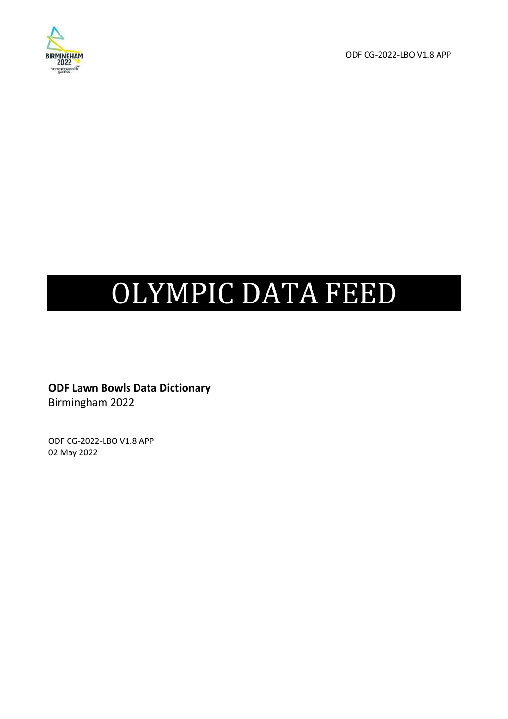

ODF CG-2022-LBO V1.8 APP

# OLYMPIC DATA FEED

**ODF Lawn Bowls Data Dictionary**  Birmingham 2022

ODF CG-2022-LBO V1.8 APP 02 May 2022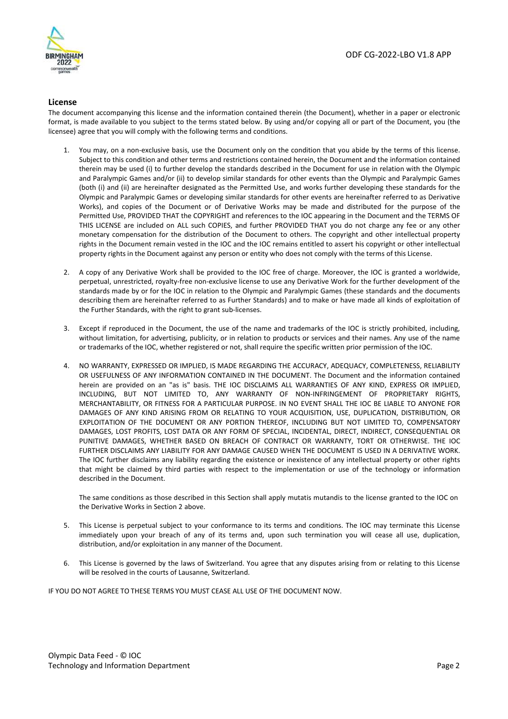

#### **License**

The document accompanying this license and the information contained therein (the Document), whether in a paper or electronic format, is made available to you subject to the terms stated below. By using and/or copying all or part of the Document, you (the licensee) agree that you will comply with the following terms and conditions.

- You may, on a non-exclusive basis, use the Document only on the condition that you abide by the terms of this license. Subject to this condition and other terms and restrictions contained herein, the Document and the information contained therein may be used (i) to further develop the standards described in the Document for use in relation with the Olympic and Paralympic Games and/or (ii) to develop similar standards for other events than the Olympic and Paralympic Games (both (i) and (ii) are hereinafter designated as the Permitted Use, and works further developing these standards for the Olympic and Paralympic Games or developing similar standards for other events are hereinafter referred to as Derivative Works), and copies of the Document or of Derivative Works may be made and distributed for the purpose of the Permitted Use, PROVIDED THAT the COPYRIGHT and references to the IOC appearing in the Document and the TERMS OF THIS LICENSE are included on ALL such COPIES, and further PROVIDED THAT you do not charge any fee or any other monetary compensation for the distribution of the Document to others. The copyright and other intellectual property rights in the Document remain vested in the IOC and the IOC remains entitled to assert his copyright or other intellectual property rights in the Document against any person or entity who does not comply with the terms of this License.
- 2. A copy of any Derivative Work shall be provided to the IOC free of charge. Moreover, the IOC is granted a worldwide, perpetual, unrestricted, royalty-free non-exclusive license to use any Derivative Work for the further development of the standards made by or for the IOC in relation to the Olympic and Paralympic Games (these standards and the documents describing them are hereinafter referred to as Further Standards) and to make or have made all kinds of exploitation of the Further Standards, with the right to grant sub-licenses.
- 3. Except if reproduced in the Document, the use of the name and trademarks of the IOC is strictly prohibited, including, without limitation, for advertising, publicity, or in relation to products or services and their names. Any use of the name or trademarks of the IOC, whether registered or not, shall require the specific written prior permission of the IOC.
- 4. NO WARRANTY, EXPRESSED OR IMPLIED, IS MADE REGARDING THE ACCURACY, ADEQUACY, COMPLETENESS, RELIABILITY OR USEFULNESS OF ANY INFORMATION CONTAINED IN THE DOCUMENT. The Document and the information contained herein are provided on an "as is" basis. THE IOC DISCLAIMS ALL WARRANTIES OF ANY KIND, EXPRESS OR IMPLIED, INCLUDING, BUT NOT LIMITED TO, ANY WARRANTY OF NON-INFRINGEMENT OF PROPRIETARY RIGHTS, MERCHANTABILITY, OR FITNESS FOR A PARTICULAR PURPOSE. IN NO EVENT SHALL THE IOC BE LIABLE TO ANYONE FOR DAMAGES OF ANY KIND ARISING FROM OR RELATING TO YOUR ACQUISITION, USE, DUPLICATION, DISTRIBUTION, OR EXPLOITATION OF THE DOCUMENT OR ANY PORTION THEREOF, INCLUDING BUT NOT LIMITED TO, COMPENSATORY DAMAGES, LOST PROFITS, LOST DATA OR ANY FORM OF SPECIAL, INCIDENTAL, DIRECT, INDIRECT, CONSEQUENTIAL OR PUNITIVE DAMAGES, WHETHER BASED ON BREACH OF CONTRACT OR WARRANTY, TORT OR OTHERWISE. THE IOC FURTHER DISCLAIMS ANY LIABILITY FOR ANY DAMAGE CAUSED WHEN THE DOCUMENT IS USED IN A DERIVATIVE WORK. The IOC further disclaims any liability regarding the existence or inexistence of any intellectual property or other rights that might be claimed by third parties with respect to the implementation or use of the technology or information described in the Document.

The same conditions as those described in this Section shall apply mutatis mutandis to the license granted to the IOC on the Derivative Works in Section 2 above.

- 5. This License is perpetual subject to your conformance to its terms and conditions. The IOC may terminate this License immediately upon your breach of any of its terms and, upon such termination you will cease all use, duplication, distribution, and/or exploitation in any manner of the Document.
- This License is governed by the laws of Switzerland. You agree that any disputes arising from or relating to this License will be resolved in the courts of Lausanne, Switzerland.

IF YOU DO NOT AGREE TO THESE TERMS YOU MUST CEASE ALL USE OF THE DOCUMENT NOW.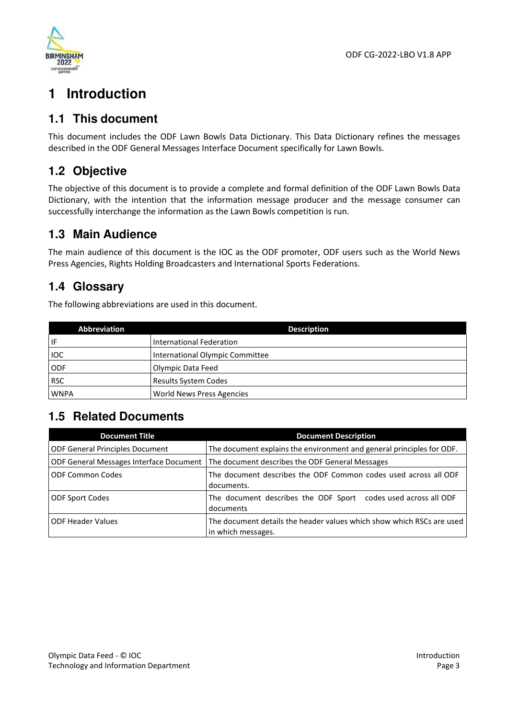

# **1 Introduction**

### **1.1 This document**

This document includes the ODF Lawn Bowls Data Dictionary. This Data Dictionary refines the messages described in the ODF General Messages Interface Document specifically for Lawn Bowls.

# **1.2 Objective**

The objective of this document is to provide a complete and formal definition of the ODF Lawn Bowls Data Dictionary, with the intention that the information message producer and the message consumer can successfully interchange the information as the Lawn Bowls competition is run.

### **1.3 Main Audience**

The main audience of this document is the IOC as the ODF promoter, ODF users such as the World News Press Agencies, Rights Holding Broadcasters and International Sports Federations.

### **1.4 Glossary**

The following abbreviations are used in this document.

| Abbreviation | <b>Description</b>              |
|--------------|---------------------------------|
| IF           | International Federation        |
| <b>IOC</b>   | International Olympic Committee |
| <b>ODF</b>   | Olympic Data Feed               |
| <b>RSC</b>   | <b>Results System Codes</b>     |
| <b>WNPA</b>  | World News Press Agencies       |

### **1.5 Related Documents**

| <b>Document Title</b>                          | <b>Document Description</b>                                                                 |
|------------------------------------------------|---------------------------------------------------------------------------------------------|
| <b>ODF General Principles Document</b>         | The document explains the environment and general principles for ODF.                       |
| <b>ODF General Messages Interface Document</b> | The document describes the ODF General Messages                                             |
| <b>ODF Common Codes</b>                        | The document describes the ODF Common codes used across all ODF<br>documents.               |
| <b>ODF Sport Codes</b>                         | The document describes the ODF Sport codes used across all ODF<br>documents                 |
| <b>ODF Header Values</b>                       | The document details the header values which show which RSCs are used<br>in which messages. |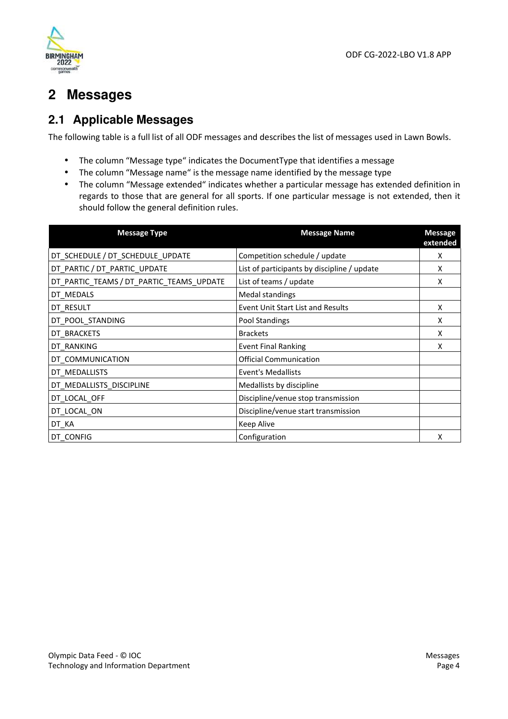

# **2 Messages**

# **2.1 Applicable Messages**

The following table is a full list of all ODF messages and describes the list of messages used in Lawn Bowls.

- The column "Message type" indicates the DocumentType that identifies a message
- The column "Message name" is the message name identified by the message type
- The column "Message extended" indicates whether a particular message has extended definition in regards to those that are general for all sports. If one particular message is not extended, then it should follow the general definition rules.

| <b>Message Type</b>                      | <b>Message Name</b>                         | <b>Message</b><br>extended |
|------------------------------------------|---------------------------------------------|----------------------------|
| DT_SCHEDULE / DT_SCHEDULE_UPDATE         | Competition schedule / update               | X                          |
| DT_PARTIC / DT_PARTIC_UPDATE             | List of participants by discipline / update | X                          |
| DT_PARTIC_TEAMS / DT_PARTIC_TEAMS_UPDATE | List of teams / update                      | X                          |
| DT MEDALS                                | Medal standings                             |                            |
| DT_RESULT                                | <b>Event Unit Start List and Results</b>    | X                          |
| DT_POOL_STANDING                         | Pool Standings                              | X                          |
| DT_BRACKETS                              | <b>Brackets</b>                             | x                          |
| DT_RANKING                               | <b>Event Final Ranking</b>                  | x                          |
| DT_COMMUNICATION                         | <b>Official Communication</b>               |                            |
| DT MEDALLISTS                            | <b>Event's Medallists</b>                   |                            |
| DT MEDALLISTS DISCIPLINE                 | Medallists by discipline                    |                            |
| DT_LOCAL_OFF                             | Discipline/venue stop transmission          |                            |
| DT_LOCAL_ON                              | Discipline/venue start transmission         |                            |
| DT_KA                                    | Keep Alive                                  |                            |
| DT CONFIG                                | Configuration                               | Χ                          |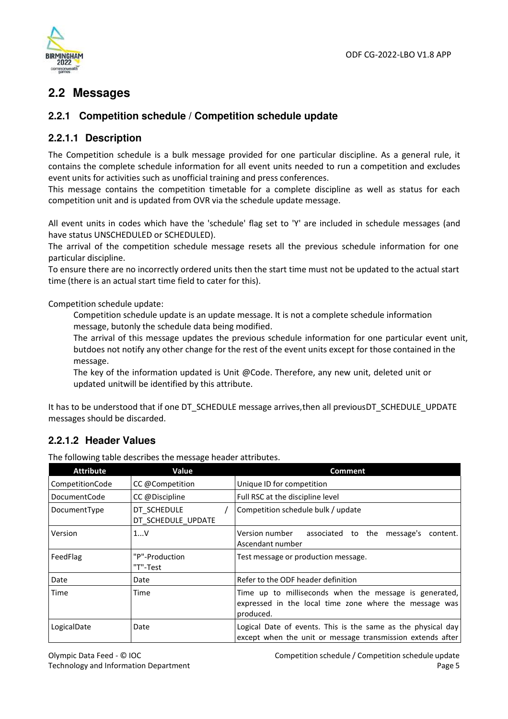

### **2.2 Messages**

### **2.2.1 Competition schedule / Competition schedule update**

### **2.2.1.1 Description**

The Competition schedule is a bulk message provided for one particular discipline. As a general rule, it contains the complete schedule information for all event units needed to run a competition and excludes event units for activities such as unofficial training and press conferences.

This message contains the competition timetable for a complete discipline as well as status for each competition unit and is updated from OVR via the schedule update message.

All event units in codes which have the 'schedule' flag set to 'Y' are included in schedule messages (and have status UNSCHEDULED or SCHEDULED).

The arrival of the competition schedule message resets all the previous schedule information for one particular discipline.

To ensure there are no incorrectly ordered units then the start time must not be updated to the actual start time (there is an actual start time field to cater for this).

Competition schedule update:

Competition schedule update is an update message. It is not a complete schedule information message, butonly the schedule data being modified.

The arrival of this message updates the previous schedule information for one particular event unit, but does not notify any other change for the rest of the event units except for those contained in the message.

The key of the information updated is Unit @Code. Therefore, any new unit, deleted unit or updated unit will be identified by this attribute.

It has to be understood that if one DT\_SCHEDULE message arrives, then all previous DT\_SCHEDULE\_UPDATE messages should be discarded.

### **2.2.1.2 Header Values**

The following table describes the message header attributes.

| <b>Attribute</b> | Value                             | <b>Comment</b>                                                                                                                |
|------------------|-----------------------------------|-------------------------------------------------------------------------------------------------------------------------------|
| CompetitionCode  | CC @Competition                   | Unique ID for competition                                                                                                     |
| DocumentCode     | CC @Discipline                    | Full RSC at the discipline level                                                                                              |
| DocumentType     | DT SCHEDULE<br>DT SCHEDULE UPDATE | Competition schedule bulk / update                                                                                            |
| Version          | 1V                                | Version number<br>associated to the message's<br>content.<br>Ascendant number                                                 |
| FeedFlag         | "P"-Production<br>"T"-Test        | Test message or production message.                                                                                           |
| Date             | Date                              | Refer to the ODF header definition                                                                                            |
| Time             | Time                              | Time up to milliseconds when the message is generated,<br>expressed in the local time zone where the message was<br>produced. |
| LogicalDate      | Date                              | Logical Date of events. This is the same as the physical day<br>except when the unit or message transmission extends after    |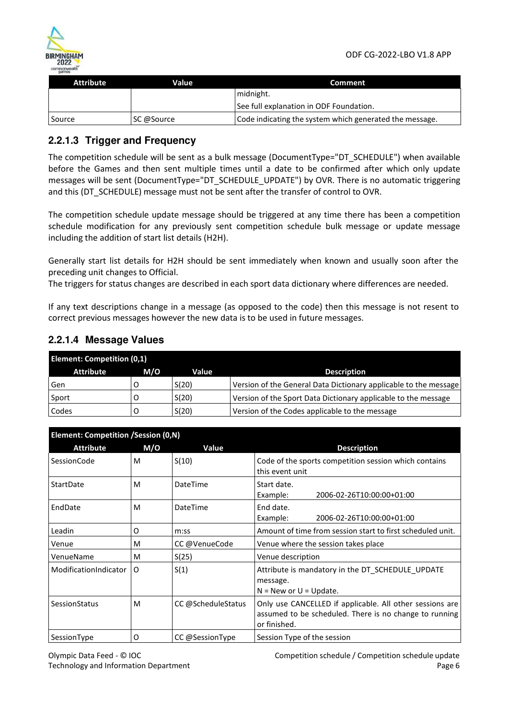

| <b>Attribute</b> | Value      | Comment                                                 |
|------------------|------------|---------------------------------------------------------|
|                  |            | midnight.                                               |
|                  |            | See full explanation in ODF Foundation.                 |
| Source           | SC @Source | Code indicating the system which generated the message. |

### **2.2.1.3 Trigger and Frequency**

The competition schedule will be sent as a bulk message (DocumentType="DT\_SCHEDULE") when available before the Games and then sent multiple times until a date to be confirmed after which only update messages will be sent (DocumentType="DT\_SCHEDULE\_UPDATE") by OVR. There is no automatic triggering and this (DT\_SCHEDULE) message must not be sent after the transfer of control to OVR.

The competition schedule update message should be triggered at any time there has been a competition schedule modification for any previously sent competition schedule bulk message or update message including the addition of start list details (H2H).

Generally start list details for H2H should be sent immediately when known and usually soon after the preceding unit changes to Official.

The triggers for status changes are described in each sport data dictionary where differences are needed.

If any text descriptions change in a message (as opposed to the code) then this message is not resent to correct previous messages however the new data is to be used in future messages.

### **2.2.1.4 Message Values**

| <b>Element: Competition (0,1)</b> |     |       |                                                                  |
|-----------------------------------|-----|-------|------------------------------------------------------------------|
| <b>Attribute</b>                  | M/O | Value | <b>Description</b>                                               |
| Gen                               |     | S(20) | Version of the General Data Dictionary applicable to the message |
| Sport                             |     | S(20) | Version of the Sport Data Dictionary applicable to the message   |
| Codes                             |     | S(20) | Version of the Codes applicable to the message                   |

| Element: Competition /Session (0,N) |     |                    |                                                                                                                                    |
|-------------------------------------|-----|--------------------|------------------------------------------------------------------------------------------------------------------------------------|
| <b>Attribute</b>                    | M/O | Value              | <b>Description</b>                                                                                                                 |
| <b>SessionCode</b>                  | м   | S(10)              | Code of the sports competition session which contains<br>this event unit                                                           |
| StartDate                           | м   | DateTime           | Start date.<br>2006-02-26T10:00:00+01:00<br>Example:                                                                               |
| EndDate                             | м   | DateTime           | End date.<br>Example:<br>2006-02-26T10:00:00+01:00                                                                                 |
| Leadin                              | O   | m:ss               | Amount of time from session start to first scheduled unit.                                                                         |
| Venue                               | м   | CC @VenueCode      | Venue where the session takes place                                                                                                |
| VenueName                           | м   | S(25)              | Venue description                                                                                                                  |
| ModificationIndicator               | O   | S(1)               | Attribute is mandatory in the DT_SCHEDULE_UPDATE<br>message.<br>$N = New$ or $U = Update$ .                                        |
| SessionStatus                       | м   | CC @ScheduleStatus | Only use CANCELLED if applicable. All other sessions are<br>assumed to be scheduled. There is no change to running<br>or finished. |
| SessionType                         | O   | CC @SessionType    | Session Type of the session                                                                                                        |

Olympic Data Feed - © IOC Technology and Information Department Competition schedule / Competition schedule update Page 6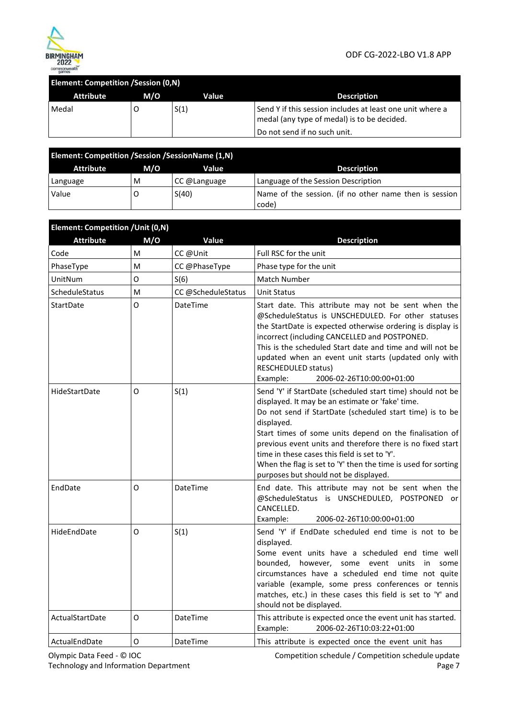

#### ODF CG-2022-LBO V1.8 APP

| <b>Element: Competition / Session (0,N)</b> |     |       |                                                                                                          |
|---------------------------------------------|-----|-------|----------------------------------------------------------------------------------------------------------|
| <b>Attribute</b>                            | M/O | Value | <b>Description</b>                                                                                       |
| Medal                                       |     | S(1)  | Send Y if this session includes at least one unit where a<br>medal (any type of medal) is to be decided. |
|                                             |     |       | Do not send if no such unit.                                                                             |

| <b>Element: Competition / Session / Session Name (1,N)</b> |     |              |                                                                 |
|------------------------------------------------------------|-----|--------------|-----------------------------------------------------------------|
| <b>Attribute</b>                                           | M/O | Value        | <b>Description</b>                                              |
| Language                                                   | м   | CC @Language | Language of the Session Description                             |
| Value                                                      |     | S(40)        | Name of the session. (if no other name then is session<br>code) |

| Element: Competition / Unit (0,N) |     |                   |                                                                                                                                                                                                                                                                                                                                                                                                                                                                              |
|-----------------------------------|-----|-------------------|------------------------------------------------------------------------------------------------------------------------------------------------------------------------------------------------------------------------------------------------------------------------------------------------------------------------------------------------------------------------------------------------------------------------------------------------------------------------------|
| <b>Attribute</b>                  | M/O | Value             | <b>Description</b>                                                                                                                                                                                                                                                                                                                                                                                                                                                           |
| Code                              | M   | CC @Unit          | Full RSC for the unit                                                                                                                                                                                                                                                                                                                                                                                                                                                        |
| PhaseType                         | M   | CC @PhaseType     | Phase type for the unit                                                                                                                                                                                                                                                                                                                                                                                                                                                      |
| UnitNum                           | O   | S(6)              | <b>Match Number</b>                                                                                                                                                                                                                                                                                                                                                                                                                                                          |
| ScheduleStatus                    | M   | CC@ScheduleStatus | <b>Unit Status</b>                                                                                                                                                                                                                                                                                                                                                                                                                                                           |
| StartDate                         | O   | DateTime          | Start date. This attribute may not be sent when the<br>@ScheduleStatus is UNSCHEDULED. For other statuses<br>the StartDate is expected otherwise ordering is display is<br>incorrect (including CANCELLED and POSTPONED.<br>This is the scheduled Start date and time and will not be<br>updated when an event unit starts (updated only with<br><b>RESCHEDULED status)</b><br>Example:<br>2006-02-26T10:00:00+01:00                                                         |
| HideStartDate                     | O   | S(1)              | Send 'Y' if StartDate (scheduled start time) should not be<br>displayed. It may be an estimate or 'fake' time.<br>Do not send if StartDate (scheduled start time) is to be<br>displayed.<br>Start times of some units depend on the finalisation of<br>previous event units and therefore there is no fixed start<br>time in these cases this field is set to 'Y'.<br>When the flag is set to 'Y' then the time is used for sorting<br>purposes but should not be displayed. |
| EndDate                           | O   | <b>DateTime</b>   | End date. This attribute may not be sent when the<br>@ScheduleStatus is UNSCHEDULED, POSTPONED<br>or<br>CANCELLED.<br>Example:<br>2006-02-26T10:00:00+01:00                                                                                                                                                                                                                                                                                                                  |
| HideEndDate                       | O   | S(1)              | Send 'Y' if EndDate scheduled end time is not to be<br>displayed.<br>Some event units have a scheduled end time well<br>bounded, however, some event units<br>in<br>some<br>circumstances have a scheduled end time not quite<br>variable (example, some press conferences or tennis<br>matches, etc.) in these cases this field is set to 'Y' and<br>should not be displayed.                                                                                               |
| ActualStartDate                   | O   | <b>DateTime</b>   | This attribute is expected once the event unit has started.<br>2006-02-26T10:03:22+01:00<br>Example:                                                                                                                                                                                                                                                                                                                                                                         |
| ActualEndDate                     | O   | DateTime          | This attribute is expected once the event unit has                                                                                                                                                                                                                                                                                                                                                                                                                           |

Olympic Data Feed - © IOC Technology and Information Department Competition schedule / Competition schedule update Page 7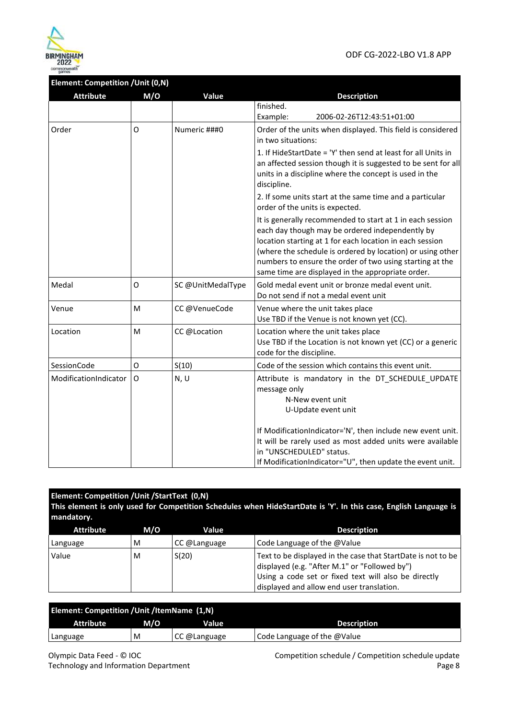

#### **Element: Competition /Unit (0,N)**

| <b>Attribute</b>      | M/O | Value             | <b>Description</b>                                                                                                                                                                                                                                                                                                                                      |
|-----------------------|-----|-------------------|---------------------------------------------------------------------------------------------------------------------------------------------------------------------------------------------------------------------------------------------------------------------------------------------------------------------------------------------------------|
|                       |     |                   | finished.                                                                                                                                                                                                                                                                                                                                               |
|                       |     |                   | Example:<br>2006-02-26T12:43:51+01:00                                                                                                                                                                                                                                                                                                                   |
| Order                 | O   | Numeric ###0      | Order of the units when displayed. This field is considered<br>in two situations:                                                                                                                                                                                                                                                                       |
|                       |     |                   | 1. If HideStartDate = 'Y' then send at least for all Units in<br>an affected session though it is suggested to be sent for all<br>units in a discipline where the concept is used in the<br>discipline.                                                                                                                                                 |
|                       |     |                   | 2. If some units start at the same time and a particular<br>order of the units is expected.                                                                                                                                                                                                                                                             |
|                       |     |                   | It is generally recommended to start at 1 in each session<br>each day though may be ordered independently by<br>location starting at 1 for each location in each session<br>(where the schedule is ordered by location) or using other<br>numbers to ensure the order of two using starting at the<br>same time are displayed in the appropriate order. |
| Medal                 | O   | SC @UnitMedalType | Gold medal event unit or bronze medal event unit.<br>Do not send if not a medal event unit                                                                                                                                                                                                                                                              |
| Venue                 | M   | CC@VenueCode      | Venue where the unit takes place<br>Use TBD if the Venue is not known yet (CC).                                                                                                                                                                                                                                                                         |
| Location              | M   | CC @Location      | Location where the unit takes place<br>Use TBD if the Location is not known yet (CC) or a generic<br>code for the discipline.                                                                                                                                                                                                                           |
| SessionCode           | O   | S(10)             | Code of the session which contains this event unit.                                                                                                                                                                                                                                                                                                     |
| ModificationIndicator | O   | N, U              | Attribute is mandatory in the DT_SCHEDULE_UPDATE<br>message only<br>N-New event unit<br>U-Update event unit                                                                                                                                                                                                                                             |
|                       |     |                   | If ModificationIndicator='N', then include new event unit.<br>It will be rarely used as most added units were available<br>in "UNSCHEDULED" status.<br>If ModificationIndicator="U", then update the event unit.                                                                                                                                        |

#### **Element: Competition /Unit /StartText (0,N) This element is only used for Competition Schedules when HideStartDate is 'Y'. In this case, English Language is mandatory.**  Attribute M/O Value **Description** Language  $\vert M \vert$  CC @Language  $\vert$  Code Language of the @Value Value  $\vert M \vert$  S(20) Text to be displayed in the case that StartDate is not to be displayed (e.g. "After M.1" or "Followed by") Using a code set or fixed text will also be directly

| Element: Competition / Unit / Item Name (1, N) |     |              |                             |
|------------------------------------------------|-----|--------------|-----------------------------|
| <b>Attribute</b>                               | M/O | Value        | <b>Description</b>          |
| Language                                       | M   | CC @Language | Code Language of the @Value |

Competition schedule / Competition schedule update Page 8

displayed and allow end user translation.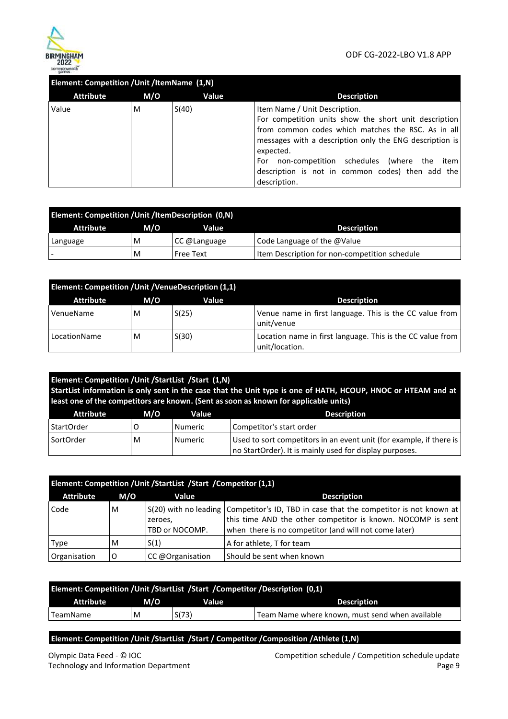

| Element: Competition / Unit / ItemName (1,N) |     |       |                                                                                                                                                                                                                                                                                                                                                 |  |
|----------------------------------------------|-----|-------|-------------------------------------------------------------------------------------------------------------------------------------------------------------------------------------------------------------------------------------------------------------------------------------------------------------------------------------------------|--|
| <b>Attribute</b>                             | M/O | Value | <b>Description</b>                                                                                                                                                                                                                                                                                                                              |  |
| Value                                        | M   | S(40) | Item Name / Unit Description.<br>For competition units show the short unit description<br>from common codes which matches the RSC. As in all<br>messages with a description only the ENG description is<br>expected.<br>non-competition schedules<br>(where the item<br>For<br>description is not in common codes) then add the<br>description. |  |

| Element: Competition / Unit / Item Description (0, N) |     |                  |                                               |
|-------------------------------------------------------|-----|------------------|-----------------------------------------------|
| Attribute                                             | M/O | Value            | <b>Description</b>                            |
| Language                                              | M   | CC @Language     | Code Language of the $@$ Value                |
|                                                       | M   | <b>Free Text</b> | Item Description for non-competition schedule |

| Element: Competition / Unit / Venue Description (1,1) |     |       |                                                                                |
|-------------------------------------------------------|-----|-------|--------------------------------------------------------------------------------|
| <b>Attribute</b>                                      | M/O | Value | <b>Description</b>                                                             |
| VenueName                                             | M   | S(25) | Venue name in first language. This is the CC value from<br>unit/venue          |
| LocationName                                          | M   | S(30) | Location name in first language. This is the CC value from  <br>unit/location. |

| Element: Competition / Unit / Start List / Start (1, N)<br>StartList information is only sent in the case that the Unit type is one of HATH, HCOUP, HNOC or HTEAM and at<br>least one of the competitors are known. (Sent as soon as known for applicable units) |     |                |                                                                                                                                  |
|------------------------------------------------------------------------------------------------------------------------------------------------------------------------------------------------------------------------------------------------------------------|-----|----------------|----------------------------------------------------------------------------------------------------------------------------------|
| <b>Attribute</b>                                                                                                                                                                                                                                                 | M/O | Value          | <b>Description</b>                                                                                                               |
| <b>StartOrder</b>                                                                                                                                                                                                                                                |     | <b>Numeric</b> | Competitor's start order                                                                                                         |
| SortOrder                                                                                                                                                                                                                                                        | M   | <b>Numeric</b> | Used to sort competitors in an event unit (for example, if there is  <br>no StartOrder). It is mainly used for display purposes. |

| Element: Competition / Unit / Start List / Start / Competitor (1,1) |     |                           |                                                                                                                                                                                                                |  |
|---------------------------------------------------------------------|-----|---------------------------|----------------------------------------------------------------------------------------------------------------------------------------------------------------------------------------------------------------|--|
| <b>Attribute</b>                                                    | M/O | Value                     | <b>Description</b>                                                                                                                                                                                             |  |
| Code                                                                | M   | zeroes,<br>TBD or NOCOMP. | S(20) with no leading Competitor's ID, TBD in case that the competitor is not known at<br>this time AND the other competitor is known. NOCOMP is sent<br>when there is no competitor (and will not come later) |  |
| <b>Type</b>                                                         | M   | S(1)                      | A for athlete, T for team                                                                                                                                                                                      |  |
| Organisation                                                        |     | CC @Organisation          | Should be sent when known                                                                                                                                                                                      |  |

| Element: Competition / Unit / Start List / Start / Competitor / Description (0,1) |     |       |                                                 |  |
|-----------------------------------------------------------------------------------|-----|-------|-------------------------------------------------|--|
| Attribute                                                                         | M/O | Value | <b>Description</b>                              |  |
| 'TeamName                                                                         | M   | S(73) | Team Name where known, must send when available |  |

**Element: Competition /Unit /StartList /Start / Competitor /Composition /Athlete (1,N)** 

Competition schedule / Competition schedule update Page 9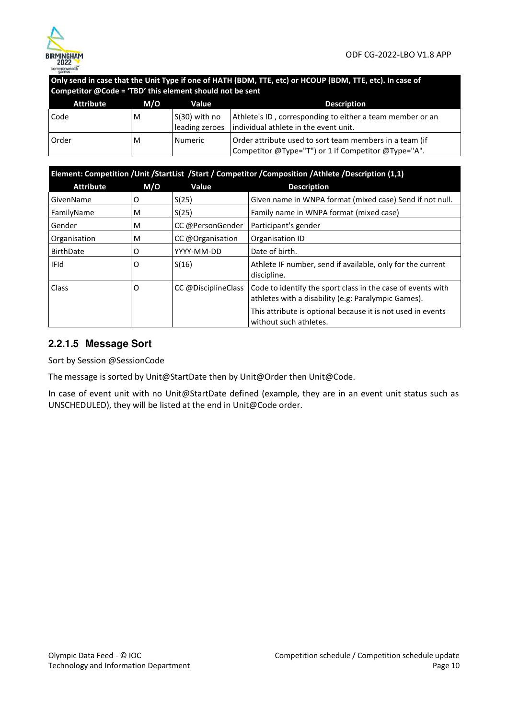

**Only send in case that the Unit Type if one of HATH (BDM, TTE, etc) or HCOUP (BDM, TTE, etc). In case of Competitor @Code = 'TBD' this element should not be sent** 

| <b>Attribute</b> | M/O | Value          | <b>Description</b>                                                                                             |
|------------------|-----|----------------|----------------------------------------------------------------------------------------------------------------|
| Code             | м   | S(30) with no  | Athlete's ID, corresponding to either a team member or an                                                      |
|                  |     | leading zeroes | individual athlete in the event unit.                                                                          |
| Order            | M   | Numeric        | Order attribute used to sort team members in a team (if<br>Competitor @Type="T") or 1 if Competitor @Type="A". |

| Element: Competition /Unit /StartList /Start / Competitor /Composition /Athlete /Description (1,1) |     |                     |                                                                                                                    |
|----------------------------------------------------------------------------------------------------|-----|---------------------|--------------------------------------------------------------------------------------------------------------------|
| <b>Attribute</b>                                                                                   | M/O | Value               | <b>Description</b>                                                                                                 |
| GivenName                                                                                          | O   | S(25)               | Given name in WNPA format (mixed case) Send if not null.                                                           |
| FamilyName                                                                                         | м   | S(25)               | Family name in WNPA format (mixed case)                                                                            |
| Gender                                                                                             | м   | CC @PersonGender    | Participant's gender                                                                                               |
| Organisation                                                                                       | M   | CC @Organisation    | Organisation ID                                                                                                    |
| <b>BirthDate</b>                                                                                   | O   | YYYY-MM-DD          | Date of birth.                                                                                                     |
| <b>IFId</b>                                                                                        | O   | S(16)               | Athlete IF number, send if available, only for the current<br>discipline.                                          |
| Class                                                                                              | O   | CC @DisciplineClass | Code to identify the sport class in the case of events with<br>athletes with a disability (e.g: Paralympic Games). |
|                                                                                                    |     |                     | This attribute is optional because it is not used in events<br>without such athletes.                              |

### **2.2.1.5 Message Sort**

Sort by Session @SessionCode

The message is sorted by Unit@StartDate then by Unit@Order then Unit@Code.

In case of event unit with no Unit@StartDate defined (example, they are in an event unit status such as UNSCHEDULED), they will be listed at the end in Unit@Code order.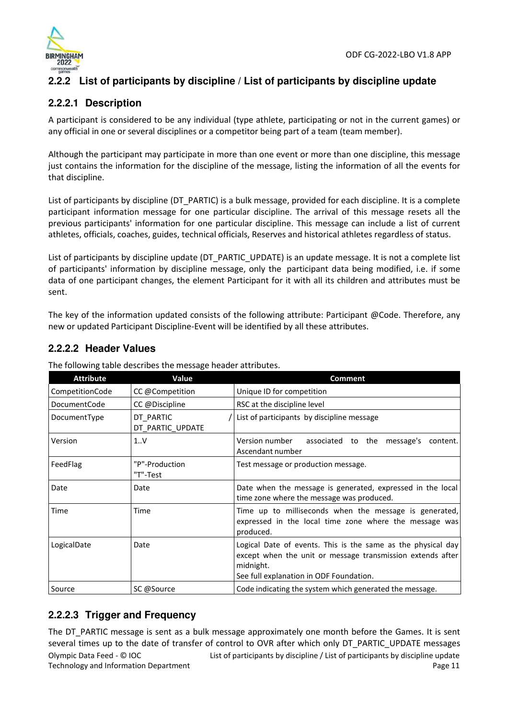

### **2.2.2 List of participants by discipline / List of participants by discipline update**

### **2.2.2.1 Description**

A participant is considered to be any individual (type athlete, participating or not in the current games) or any official in one or several disciplines or a competitor being part of a team (team member).

Although the participant may participate in more than one event or more than one discipline, this message just contains the information for the discipline of the message, listing the information of all the events for that discipline.

List of participants by discipline (DT\_PARTIC) is a bulk message, provided for each discipline. It is a complete participant information message for one particular discipline. The arrival of this message resets all the previous participants' information for one particular discipline. This message can include a list of current athletes, officials, coaches, guides, technical officials, Reserves and historical athletes regardless of status.

List of participants by discipline update (DT\_PARTIC\_UPDATE) is an update message. It is not a complete list of participants' information by discipline message, only the participant data being modified, i.e. if some data of one participant changes, the element Participant for it with all its children and attributes must be sent.

The key of the information updated consists of the following attribute: Participant @Code. Therefore, any new or updated Participant Discipline-Event will be identified by all these attributes.

### **2.2.2.2 Header Values**

| <b>Attribute</b> | Value                         | <b>Comment</b>                                                                                                                                                                     |
|------------------|-------------------------------|------------------------------------------------------------------------------------------------------------------------------------------------------------------------------------|
| CompetitionCode  | CC @Competition               | Unique ID for competition                                                                                                                                                          |
| DocumentCode     | CC @Discipline                | RSC at the discipline level                                                                                                                                                        |
| DocumentType     | DT_PARTIC<br>DT PARTIC UPDATE | List of participants by discipline message                                                                                                                                         |
| Version          | 1.0V                          | Version number<br>associated to the message's<br>content.<br>Ascendant number                                                                                                      |
| FeedFlag         | "P"-Production<br>"T"-Test    | Test message or production message.                                                                                                                                                |
| Date             | Date                          | Date when the message is generated, expressed in the local<br>time zone where the message was produced.                                                                            |
| Time             | Time                          | Time up to milliseconds when the message is generated,<br>expressed in the local time zone where the message was<br>produced.                                                      |
| LogicalDate      | Date                          | Logical Date of events. This is the same as the physical day<br>except when the unit or message transmission extends after<br>midnight.<br>See full explanation in ODF Foundation. |
| Source           | SC @Source                    | Code indicating the system which generated the message.                                                                                                                            |

The following table describes the message header attributes.

### **2.2.2.3 Trigger and Frequency**

Olympic Data Feed - © IOC Technology and Information Department List of participants by discipline / List of participants by discipline update Page 11 The DT\_PARTIC message is sent as a bulk message approximately one month before the Games. It is sent several times up to the date of transfer of control to OVR after which only DT\_PARTIC\_UPDATE messages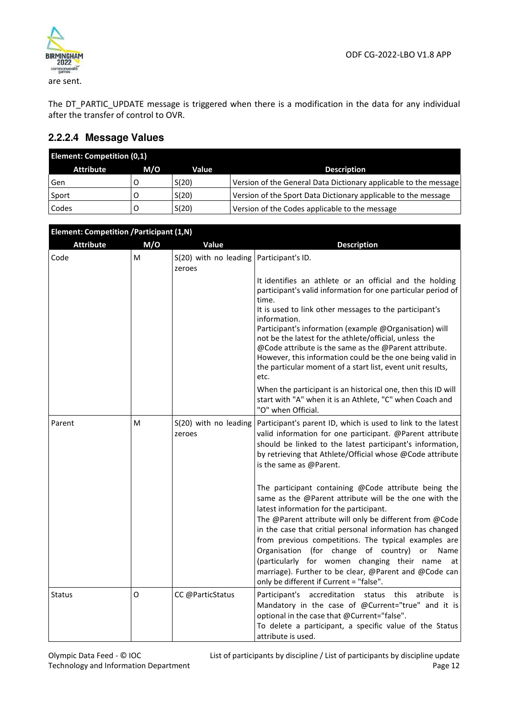

The DT\_PARTIC\_UPDATE message is triggered when there is a modification in the data for any individual after the transfer of control to OVR.

### **2.2.2.4 Message Values**

| <b>Element: Competition (0,1)</b> |     |       |                                                                  |
|-----------------------------------|-----|-------|------------------------------------------------------------------|
| <b>Attribute</b>                  | M/O | Value | <b>Description</b>                                               |
| Gen                               |     | S(20) | Version of the General Data Dictionary applicable to the message |
| Sport                             |     | S(20) | Version of the Sport Data Dictionary applicable to the message   |
| Codes                             |     | S(20) | Version of the Codes applicable to the message                   |

| <b>Element: Competition / Participant (1,N)</b> |     |                                                     |                                                                                                                                                                                                                                                                                                                                                                                                                                                                                                                            |
|-------------------------------------------------|-----|-----------------------------------------------------|----------------------------------------------------------------------------------------------------------------------------------------------------------------------------------------------------------------------------------------------------------------------------------------------------------------------------------------------------------------------------------------------------------------------------------------------------------------------------------------------------------------------------|
| <b>Attribute</b>                                | M/O | Value                                               | <b>Description</b>                                                                                                                                                                                                                                                                                                                                                                                                                                                                                                         |
| Code                                            | м   | $S(20)$ with no leading Participant's ID.<br>zeroes |                                                                                                                                                                                                                                                                                                                                                                                                                                                                                                                            |
|                                                 |     |                                                     | It identifies an athlete or an official and the holding<br>participant's valid information for one particular period of<br>time.<br>It is used to link other messages to the participant's<br>information.<br>Participant's information (example @Organisation) will<br>not be the latest for the athlete/official, unless the<br>@Code attribute is the same as the @Parent attribute.<br>However, this information could be the one being valid in<br>the particular moment of a start list, event unit results,<br>etc. |
|                                                 |     |                                                     | When the participant is an historical one, then this ID will<br>start with "A" when it is an Athlete, "C" when Coach and<br>"O" when Official.                                                                                                                                                                                                                                                                                                                                                                             |
| Parent                                          | м   | S(20) with no leading<br>zeroes                     | Participant's parent ID, which is used to link to the latest<br>valid information for one participant. @Parent attribute<br>should be linked to the latest participant's information,<br>by retrieving that Athlete/Official whose @Code attribute<br>is the same as @Parent.<br>The participant containing @Code attribute being the<br>same as the @Parent attribute will be the one with the                                                                                                                            |
|                                                 |     |                                                     | latest information for the participant.<br>The @Parent attribute will only be different from @Code<br>in the case that critial personal information has changed<br>from previous competitions. The typical examples are<br>Organisation (for change of country)<br>or<br>Name<br>(particularly for women changing their name<br>at<br>marriage). Further to be clear, @Parent and @Code can<br>only be different if Current = "false".                                                                                     |
| <b>Status</b>                                   | O   | CC @ParticStatus                                    | Participant's accreditation status<br>this<br>atribute<br>is<br>Mandatory in the case of @Current="true" and it is<br>optional in the case that @Current="false".<br>To delete a participant, a specific value of the Status<br>attribute is used.                                                                                                                                                                                                                                                                         |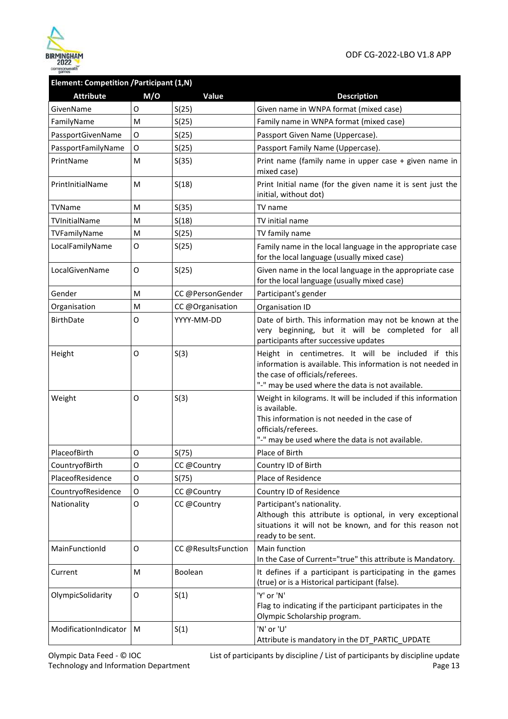

### **Element: Competition /Participant (1,N)**

| <b>Attribute</b>      | M/O | Value               | <b>Description</b>                                                                                                                                                                                        |
|-----------------------|-----|---------------------|-----------------------------------------------------------------------------------------------------------------------------------------------------------------------------------------------------------|
| GivenName             | O   | S(25)               | Given name in WNPA format (mixed case)                                                                                                                                                                    |
| FamilyName            | M   | S(25)               | Family name in WNPA format (mixed case)                                                                                                                                                                   |
| PassportGivenName     | 0   | S(25)               | Passport Given Name (Uppercase).                                                                                                                                                                          |
| PassportFamilyName    | O   | S(25)               | Passport Family Name (Uppercase).                                                                                                                                                                         |
| PrintName             | м   | S(35)               | Print name (family name in upper case + given name in<br>mixed case)                                                                                                                                      |
| PrintlnitialName      | м   | S(18)               | Print Initial name (for the given name it is sent just the<br>initial, without dot)                                                                                                                       |
| TVName                | M   | S(35)               | TV name                                                                                                                                                                                                   |
| TVInitialName         | м   | S(18)               | TV initial name                                                                                                                                                                                           |
| TVFamilyName          | M   | S(25)               | TV family name                                                                                                                                                                                            |
| LocalFamilyName       | O   | S(25)               | Family name in the local language in the appropriate case<br>for the local language (usually mixed case)                                                                                                  |
| LocalGivenName        | O   | S(25)               | Given name in the local language in the appropriate case<br>for the local language (usually mixed case)                                                                                                   |
| Gender                | м   | CC @PersonGender    | Participant's gender                                                                                                                                                                                      |
| Organisation          | м   | CC @Organisation    | Organisation ID                                                                                                                                                                                           |
| <b>BirthDate</b>      | O   | YYYY-MM-DD          | Date of birth. This information may not be known at the<br>very beginning, but it will be completed for<br>all<br>participants after successive updates                                                   |
| Height                | O   | S(3)                | Height in centimetres. It will be included if this<br>information is available. This information is not needed in<br>the case of officials/referees.<br>"-" may be used where the data is not available.  |
| Weight                | O   | S(3)                | Weight in kilograms. It will be included if this information<br>is available.<br>This information is not needed in the case of<br>officials/referees.<br>"-" may be used where the data is not available. |
| PlaceofBirth          | 0   | S(75)               | Place of Birth                                                                                                                                                                                            |
| CountryofBirth        | O   | CC @Country         | Country ID of Birth                                                                                                                                                                                       |
| PlaceofResidence      | O   | S(75)               | Place of Residence                                                                                                                                                                                        |
| CountryofResidence    | 0   | CC @Country         | Country ID of Residence                                                                                                                                                                                   |
| Nationality           | O   | CC @Country         | Participant's nationality.<br>Although this attribute is optional, in very exceptional<br>situations it will not be known, and for this reason not<br>ready to be sent.                                   |
| MainFunctionId        | 0   | CC @ResultsFunction | Main function<br>In the Case of Current="true" this attribute is Mandatory.                                                                                                                               |
| Current               | M   | Boolean             | It defines if a participant is participating in the games<br>(true) or is a Historical participant (false).                                                                                               |
| OlympicSolidarity     | 0   | S(1)                | 'Y' or 'N'<br>Flag to indicating if the participant participates in the<br>Olympic Scholarship program.                                                                                                   |
| ModificationIndicator | M   | S(1)                | 'N' or 'U'<br>Attribute is mandatory in the DT_PARTIC_UPDATE                                                                                                                                              |

Olympic Data Feed - © IOC Technology and Information Department List of participants by discipline / List of participants by discipline update Page 13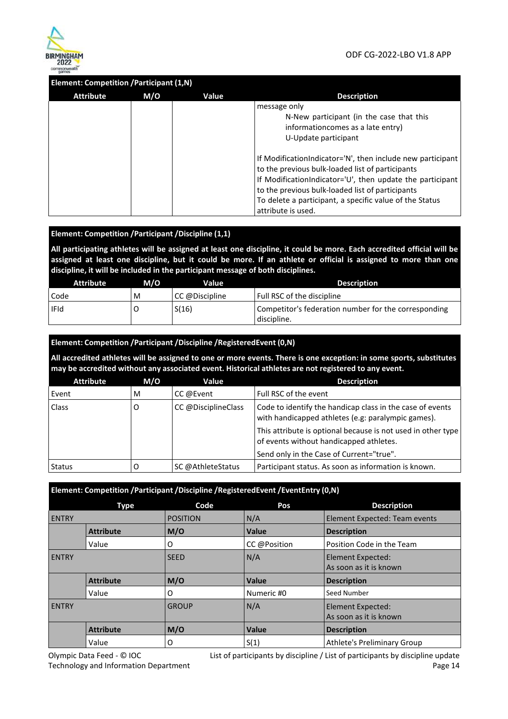

#### **Element: Competition /Participant (1,N)**

| Attribute | M/O | Value | <b>Description</b>                                                                                                                                                                                                                                                                                               |
|-----------|-----|-------|------------------------------------------------------------------------------------------------------------------------------------------------------------------------------------------------------------------------------------------------------------------------------------------------------------------|
|           |     |       | message only<br>N-New participant (in the case that this<br>information comes as a late entry)<br>U-Update participant                                                                                                                                                                                           |
|           |     |       | If ModificationIndicator='N', then include new participant<br>to the previous bulk-loaded list of participants<br>If ModificationIndicator='U', then update the participant<br>to the previous bulk-loaded list of participants<br>To delete a participant, a specific value of the Status<br>attribute is used. |

#### **Element: Competition /Participant /Discipline (1,1)**

**All participating athletes will be assigned at least one discipline, it could be more. Each accredited official will be assigned at least one discipline, but it could be more. If an athlete or official is assigned to more than one discipline, it will be included in the participant message of both disciplines.** 

| <b>Attribute</b> | M/O | Value          | <b>Description</b>                                                  |
|------------------|-----|----------------|---------------------------------------------------------------------|
| Code             | M   | CC @Discipline | Full RSC of the discipline                                          |
| <b>IFId</b>      |     | S(16)          | Competitor's federation number for the corresponding<br>discipline. |

#### **Element: Competition /Participant /Discipline /RegisteredEvent (0,N)**

**All accredited athletes will be assigned to one or more events. There is one exception: in some sports, substitutes may be accredited without any associated event. Historical athletes are not registered to any event.** 

| <b>Attribute</b> | M/O | Value                                                                                                                                  | <b>Description</b>                                                                                      |
|------------------|-----|----------------------------------------------------------------------------------------------------------------------------------------|---------------------------------------------------------------------------------------------------------|
| Event            | M   | CC @Event                                                                                                                              | Full RSC of the event                                                                                   |
| Class            | O   | CC @DisciplineClass<br>Code to identify the handicap class in the case of events<br>with handicapped athletes (e.g: paralympic games). |                                                                                                         |
|                  |     |                                                                                                                                        | This attribute is optional because is not used in other type<br>of events without handicapped athletes. |
|                  |     |                                                                                                                                        | Send only in the Case of Current="true".                                                                |
| <b>Status</b>    |     | SC @AthleteStatus                                                                                                                      | Participant status. As soon as information is known.                                                    |

#### **Element: Competition /Participant /Discipline /RegisteredEvent /EventEntry (0,N)**

|              | Type             | Code            | Pos          | <b>Description</b>                          |
|--------------|------------------|-----------------|--------------|---------------------------------------------|
| <b>ENTRY</b> |                  | <b>POSITION</b> | N/A          | Element Expected: Team events               |
|              | <b>Attribute</b> | M/O             | Value        | <b>Description</b>                          |
|              | Value            | 0               | CC @Position | Position Code in the Team                   |
| <b>ENTRY</b> |                  | <b>SEED</b>     | N/A          | Element Expected:<br>As soon as it is known |
|              | <b>Attribute</b> | M/O             | Value        | <b>Description</b>                          |
|              | Value            | 0               | Numeric #0   | Seed Number                                 |
| <b>ENTRY</b> |                  | <b>GROUP</b>    | N/A          | Element Expected:<br>As soon as it is known |
|              | <b>Attribute</b> | M/O             | Value        | <b>Description</b>                          |
|              | Value            | O               | S(1)         | Athlete's Preliminary Group                 |

Olympic Data Feed - © IOC Technology and Information Department List of participants by discipline / List of participants by discipline update Page 14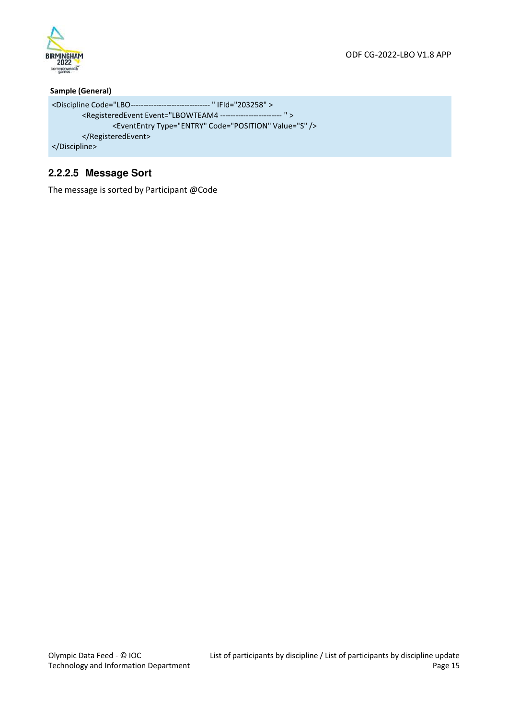

#### **Sample (General)**

```
<Discipline Code="LBO ------------------------------- " IFId="203258" > 
        <RegisteredEvent Event="LBOWTEAM4 ------------------------ " > 
                 <EventEntry Type="ENTRY" Code="POSITION" Value="S" /> 
        </RegisteredEvent> 
</Discipline>
```
### **2.2.2.5 Message Sort**

The message is sorted by Participant @Code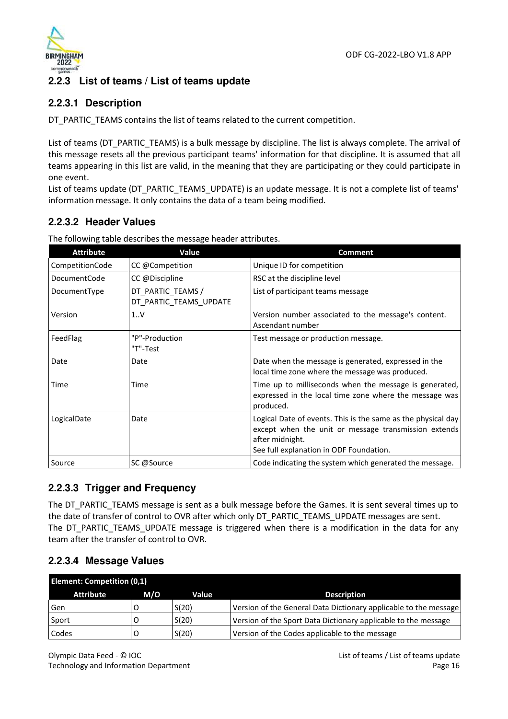

### **2.2.3 List of teams / List of teams update**

### **2.2.3.1 Description**

DT\_PARTIC\_TEAMS contains the list of teams related to the current competition.

List of teams (DT\_PARTIC\_TEAMS) is a bulk message by discipline. The list is always complete. The arrival of this message resets all the previous participant teams' information for that discipline. It is assumed that all teams appearing in this list are valid, in the meaning that they are participating or they could participate in one event.

List of teams update (DT\_PARTIC\_TEAMS\_UPDATE) is an update message. It is not a complete list of teams' information message. It only contains the data of a team being modified.

### **2.2.3.2 Header Values**

The following table describes the message header attributes.

| <b>Attribute</b>    | Value                                       | <b>Comment</b>                                                                                                                                                                     |
|---------------------|---------------------------------------------|------------------------------------------------------------------------------------------------------------------------------------------------------------------------------------|
| CompetitionCode     | CC @Competition                             | Unique ID for competition                                                                                                                                                          |
| <b>DocumentCode</b> | CC @Discipline                              | RSC at the discipline level                                                                                                                                                        |
| DocumentType        | DT_PARTIC_TEAMS /<br>DT_PARTIC_TEAMS_UPDATE | List of participant teams message                                                                                                                                                  |
| Version             | 1.0 <sub>Y</sub>                            | Version number associated to the message's content.<br>Ascendant number                                                                                                            |
| FeedFlag            | "P"-Production<br>"T"-Test                  | Test message or production message.                                                                                                                                                |
| Date                | Date                                        | Date when the message is generated, expressed in the<br>local time zone where the message was produced.                                                                            |
| Time                | Time                                        | Time up to milliseconds when the message is generated,<br>expressed in the local time zone where the message was<br>produced.                                                      |
| LogicalDate         | Date                                        | Logical Date of events. This is the same as the physical day<br>except when the unit or message transmission extends<br>after midnight.<br>See full explanation in ODF Foundation. |
| Source              | SC @Source                                  | Code indicating the system which generated the message.                                                                                                                            |

### **2.2.3.3 Trigger and Frequency**

The DT\_PARTIC\_TEAMS message is sent as a bulk message before the Games. It is sent several times up to the date of transfer of control to OVR after which only DT\_PARTIC\_TEAMS\_UPDATE messages are sent. The DT\_PARTIC\_TEAMS\_UPDATE message is triggered when there is a modification in the data for any team after the transfer of control to OVR.

### **2.2.3.4 Message Values**

| <b>Element: Competition (0,1)</b> |     |       |                                                                  |  |
|-----------------------------------|-----|-------|------------------------------------------------------------------|--|
| <b>Attribute</b>                  | M/O | Value | <b>Description</b>                                               |  |
| Gen                               |     | S(20) | Version of the General Data Dictionary applicable to the message |  |
| Sport                             |     | S(20) | Version of the Sport Data Dictionary applicable to the message   |  |
| Codes                             |     | S(20) | Version of the Codes applicable to the message                   |  |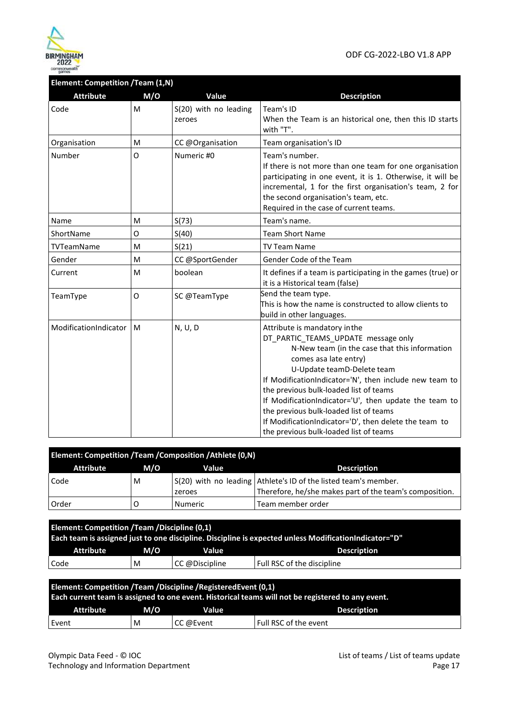

### **Element: Competition /Team (1,N)**

| <b>Attribute</b>      | M/O | Value                                                                                                                                                                                                                                                                                              | <b>Description</b>                                                                                                                                                                                                                                                                                                                                                                                                                                                                     |
|-----------------------|-----|----------------------------------------------------------------------------------------------------------------------------------------------------------------------------------------------------------------------------------------------------------------------------------------------------|----------------------------------------------------------------------------------------------------------------------------------------------------------------------------------------------------------------------------------------------------------------------------------------------------------------------------------------------------------------------------------------------------------------------------------------------------------------------------------------|
| Code                  | M   | S(20) with no leading<br>zeroes                                                                                                                                                                                                                                                                    | Team's ID<br>When the Team is an historical one, then this ID starts<br>with "T".                                                                                                                                                                                                                                                                                                                                                                                                      |
| Organisation          | M   | CC @Organisation                                                                                                                                                                                                                                                                                   | Team organisation's ID                                                                                                                                                                                                                                                                                                                                                                                                                                                                 |
| Number                | O   | Numeric #0<br>Team's number.<br>If there is not more than one team for one organisation<br>participating in one event, it is 1. Otherwise, it will be<br>incremental, 1 for the first organisation's team, 2 for<br>the second organisation's team, etc.<br>Required in the case of current teams. |                                                                                                                                                                                                                                                                                                                                                                                                                                                                                        |
| Name                  | м   | S(73)                                                                                                                                                                                                                                                                                              | Team's name.                                                                                                                                                                                                                                                                                                                                                                                                                                                                           |
| ShortName             | O   | S(40)                                                                                                                                                                                                                                                                                              | <b>Team Short Name</b>                                                                                                                                                                                                                                                                                                                                                                                                                                                                 |
| <b>TVTeamName</b>     | M   | S(21)                                                                                                                                                                                                                                                                                              | <b>TV Team Name</b>                                                                                                                                                                                                                                                                                                                                                                                                                                                                    |
| Gender                | M   | CC @SportGender                                                                                                                                                                                                                                                                                    | Gender Code of the Team                                                                                                                                                                                                                                                                                                                                                                                                                                                                |
| Current               | M   | boolean                                                                                                                                                                                                                                                                                            | It defines if a team is participating in the games (true) or<br>it is a Historical team (false)                                                                                                                                                                                                                                                                                                                                                                                        |
| TeamType              | O   | SC @TeamType                                                                                                                                                                                                                                                                                       | Send the team type.<br>This is how the name is constructed to allow clients to<br>build in other languages.                                                                                                                                                                                                                                                                                                                                                                            |
| ModificationIndicator | M   | N, U, D                                                                                                                                                                                                                                                                                            | Attribute is mandatory in the<br>DT PARTIC TEAMS UPDATE message only<br>N-New team (in the case that this information<br>comes asa late entry)<br>U-Update teamD-Delete team<br>If ModificationIndicator='N', then include new team to<br>the previous bulk-loaded list of teams<br>If ModificationIndicator='U', then update the team to<br>the previous bulk-loaded list of teams<br>If ModificationIndicator='D', then delete the team to<br>the previous bulk-loaded list of teams |

| Element: Competition / Team / Composition / Athlete (0,N) |     |                |                                                                 |  |  |
|-----------------------------------------------------------|-----|----------------|-----------------------------------------------------------------|--|--|
| Attribute                                                 | M/O | Value          | <b>Description</b>                                              |  |  |
| Code                                                      | M   |                | S(20) with no leading Athlete's ID of the listed team's member. |  |  |
|                                                           |     | zeroes         | Therefore, he/she makes part of the team's composition.         |  |  |
| Order                                                     |     | <b>Numeric</b> | Team member order                                               |  |  |

| Element: Competition / Team / Discipline (0,1)<br>Each team is assigned just to one discipline. Discipline is expected unless ModificationIndicator="D"                |     |                |                            |  |
|------------------------------------------------------------------------------------------------------------------------------------------------------------------------|-----|----------------|----------------------------|--|
| <b>Attribute</b>                                                                                                                                                       | M/O | Value          | <b>Description</b>         |  |
| Code                                                                                                                                                                   | M   | CC @Discipline | Full RSC of the discipline |  |
| Element: Competition / Team / Discipline / Registered Event (0,1)<br>Each current team is assigned to one event. Historical teams will not be registered to any event. |     |                |                            |  |
| <b>Attribute</b>                                                                                                                                                       | M/O | Value          | <b>Description</b>         |  |
| Event                                                                                                                                                                  | м   | CC @Event      | Full RSC of the event      |  |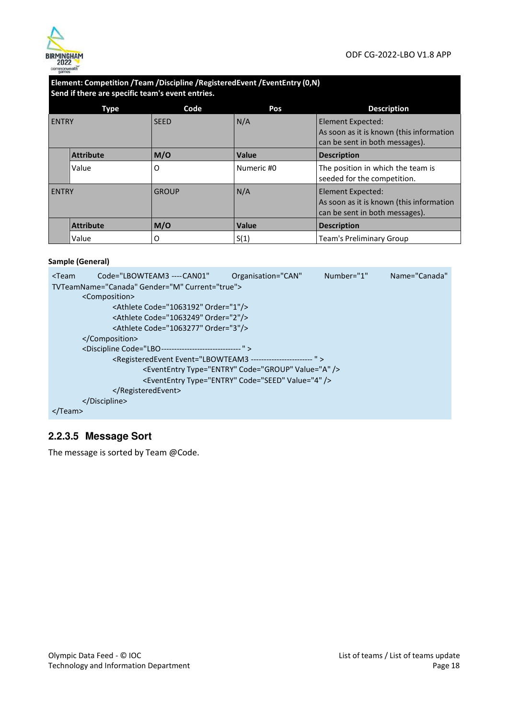

#### **Element: Competition /Team /Discipline /RegisteredEvent /EventEntry (0,N) Send if there are specific team's event entries.**

|              | Type             | Code         | Pos        | <b>Description</b>                                                                              |
|--------------|------------------|--------------|------------|-------------------------------------------------------------------------------------------------|
| <b>ENTRY</b> |                  | <b>SEED</b>  | N/A        | Element Expected:<br>As soon as it is known (this information<br>can be sent in both messages). |
|              | <b>Attribute</b> | M/O          | Value      | <b>Description</b>                                                                              |
|              | Value            | O            | Numeric #0 | The position in which the team is<br>seeded for the competition.                                |
| <b>ENTRY</b> |                  | <b>GROUP</b> | N/A        | Element Expected:<br>As soon as it is known (this information<br>can be sent in both messages). |
|              | <b>Attribute</b> | M/O          | Value      | <b>Description</b>                                                                              |
|              | Value            | O            | S(1)       | <b>Team's Preliminary Group</b>                                                                 |

#### **Sample (General)**

| $<$ Team | Code="LBOWTEAM3 ---- CAN01"                                                      | Organisation="CAN"                                            | Number="1" | Name="Canada" |
|----------|----------------------------------------------------------------------------------|---------------------------------------------------------------|------------|---------------|
|          | TVTeamName="Canada" Gender="M" Current="true">                                   |                                                               |            |               |
|          | <composition></composition>                                                      |                                                               |            |               |
|          | <athlete code="1063192" order="1"></athlete>                                     |                                                               |            |               |
|          | <athlete code="1063249" order="2"></athlete>                                     |                                                               |            |               |
|          | <athlete code="1063277" order="3"></athlete>                                     |                                                               |            |               |
|          |                                                                                  |                                                               |            |               |
|          | <discipline code="LBO---------------------------------"></discipline>            |                                                               |            |               |
|          | <registeredevent event="LBOWTEAM3 ------------------------- "></registeredevent> |                                                               |            |               |
|          |                                                                                  | <evententry code="GROUP" type="ENTRY" value="A"></evententry> |            |               |
|          |                                                                                  | <evententry code="SEED" type="ENTRY" value="4"></evententry>  |            |               |
|          |                                                                                  |                                                               |            |               |
|          |                                                                                  |                                                               |            |               |
|          |                                                                                  |                                                               |            |               |

### **2.2.3.5 Message Sort**

The message is sorted by Team @Code.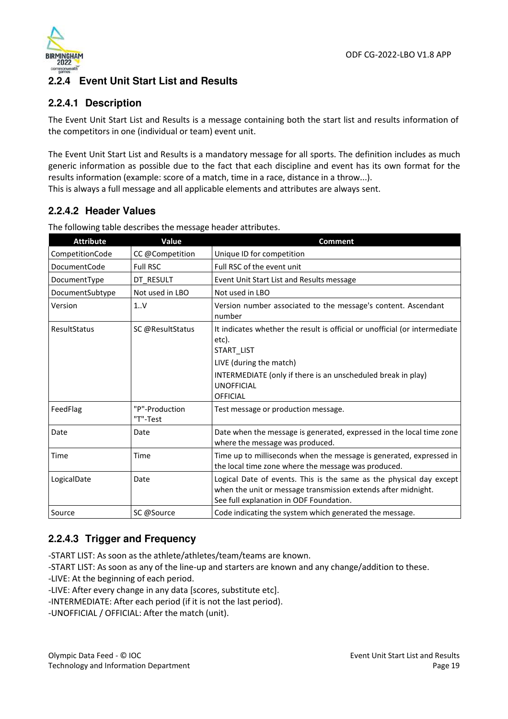

### **2.2.4 Event Unit Start List and Results**

### **2.2.4.1 Description**

The Event Unit Start List and Results is a message containing both the start list and results information of the competitors in one (individual or team) event unit.

The Event Unit Start List and Results is a mandatory message for all sports. The definition includes as much generic information as possible due to the fact that each discipline and event has its own format for the results information (example: score of a match, time in a race, distance in a throw...).

This is always a full message and all applicable elements and attributes are always sent.

### **2.2.4.2 Header Values**

| <b>Attribute</b> | Value                      | <b>Comment</b>                                                                                                                                                                  |
|------------------|----------------------------|---------------------------------------------------------------------------------------------------------------------------------------------------------------------------------|
| CompetitionCode  | CC @Competition            | Unique ID for competition                                                                                                                                                       |
| DocumentCode     | <b>Full RSC</b>            | Full RSC of the event unit                                                                                                                                                      |
| DocumentType     | DT RESULT                  | Event Unit Start List and Results message                                                                                                                                       |
| DocumentSubtype  | Not used in LBO            | Not used in LBO                                                                                                                                                                 |
| Version          | 1V                         | Version number associated to the message's content. Ascendant<br>number                                                                                                         |
| ResultStatus     | SC @ResultStatus           | It indicates whether the result is official or unofficial (or intermediate<br>etc).<br>START_LIST                                                                               |
|                  |                            | LIVE (during the match)                                                                                                                                                         |
|                  |                            | INTERMEDIATE (only if there is an unscheduled break in play)                                                                                                                    |
|                  |                            | <b>UNOFFICIAL</b>                                                                                                                                                               |
|                  |                            | <b>OFFICIAL</b>                                                                                                                                                                 |
| FeedFlag         | "P"-Production<br>"T"-Test | Test message or production message.                                                                                                                                             |
| Date             | Date                       | Date when the message is generated, expressed in the local time zone<br>where the message was produced.                                                                         |
| Time             | Time                       | Time up to milliseconds when the message is generated, expressed in<br>the local time zone where the message was produced.                                                      |
| LogicalDate      | Date                       | Logical Date of events. This is the same as the physical day except<br>when the unit or message transmission extends after midnight.<br>See full explanation in ODF Foundation. |
| Source           | SC @Source                 | Code indicating the system which generated the message.                                                                                                                         |

The following table describes the message header attributes.

### **2.2.4.3 Trigger and Frequency**

-START LIST: As soon as the athlete/athletes/team/teams are known.

-START LIST: As soon as any of the line-up and starters are known and any change/addition to these.

-LIVE: At the beginning of each period.

-LIVE: After every change in any data [scores, substitute etc].

-INTERMEDIATE: After each period (if it is not the last period).

-UNOFFICIAL / OFFICIAL: After the match (unit).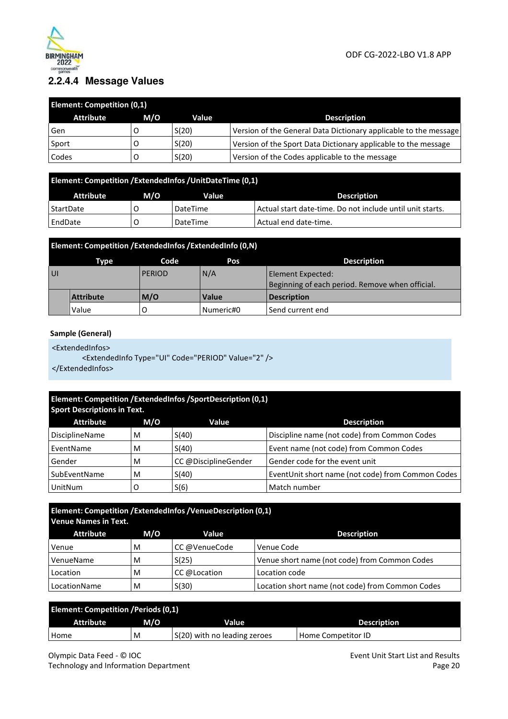

### **2.2.4.4 Message Values**

| <b>Element: Competition (0,1)</b> |     |       |                                                                  |  |  |
|-----------------------------------|-----|-------|------------------------------------------------------------------|--|--|
| <b>Attribute</b>                  | M/O | Value | <b>Description</b>                                               |  |  |
| Gen                               |     | S(20) | Version of the General Data Dictionary applicable to the message |  |  |
| Sport                             |     | S(20) | Version of the Sport Data Dictionary applicable to the message   |  |  |
| Codes                             |     | S(20) | Version of the Codes applicable to the message                   |  |  |

| Element: Competition / ExtendedInfos / UnitDateTime (0,1) |     |              |                                                           |  |  |
|-----------------------------------------------------------|-----|--------------|-----------------------------------------------------------|--|--|
| Attribute                                                 | M/O | <b>Value</b> | <b>Description</b>                                        |  |  |
| StartDate                                                 |     | DateTime     | Actual start date-time. Do not include until unit starts. |  |  |
| l EndDate                                                 |     | DateTime     | Actual end date-time.                                     |  |  |

|                     | Element: Competition / ExtendedInfos / ExtendedInfo (0,N) |     |                                                                      |                    |  |  |  |
|---------------------|-----------------------------------------------------------|-----|----------------------------------------------------------------------|--------------------|--|--|--|
|                     | <b>Description</b><br>Code<br>Pos<br>Type                 |     |                                                                      |                    |  |  |  |
| <b>UI</b><br>PERIOD |                                                           | N/A | Element Expected:<br>Beginning of each period. Remove when official. |                    |  |  |  |
|                     | <b>Attribute</b>                                          | M/O | Value                                                                | <b>Description</b> |  |  |  |
|                     | Value                                                     |     | Numeric#0                                                            | Send current end   |  |  |  |

#### **Sample (General)**

<ExtendedInfos>

<ExtendedInfo Type="UI" Code="PERIOD" Value="2" />

</ExtendedInfos>

| Element: Competition /ExtendedInfos /SportDescription (0,1)<br><b>Sport Descriptions in Text.</b> |     |                      |                                                   |  |  |  |
|---------------------------------------------------------------------------------------------------|-----|----------------------|---------------------------------------------------|--|--|--|
| <b>Attribute</b>                                                                                  | M/O | Value                | <b>Description</b>                                |  |  |  |
| DisciplineName                                                                                    | M   | S(40)                | Discipline name (not code) from Common Codes      |  |  |  |
| EventName                                                                                         | м   | S(40)                | Event name (not code) from Common Codes           |  |  |  |
| Gender                                                                                            | м   | CC @DisciplineGender | Gender code for the event unit                    |  |  |  |
| SubEventName                                                                                      | м   | S(40)                | EventUnit short name (not code) from Common Codes |  |  |  |
| UnitNum                                                                                           | ۰   | S(6)                 | Match number                                      |  |  |  |

### **Element: Competition /ExtendedInfos /VenueDescription (0,1) Venue Names in Text.**

| <b>Attribute</b> | M/O | Value         | <b>Description</b>                               |
|------------------|-----|---------------|--------------------------------------------------|
| Venue            | M   | CC @VenueCode | Venue Code                                       |
| VenueName        | м   | S(25)         | Venue short name (not code) from Common Codes    |
| Location         | м   | CC @Location  | Location code                                    |
| LocationName     | M   | S(30)         | Location short name (not code) from Common Codes |

| <b>Element: Competition / Periods (0,1)</b> |     |                              |                    |  |  |  |
|---------------------------------------------|-----|------------------------------|--------------------|--|--|--|
| <b>Attribute</b>                            | M/O | Value                        | <b>Description</b> |  |  |  |
| Home                                        | M   | S(20) with no leading zeroes | Home Competitor ID |  |  |  |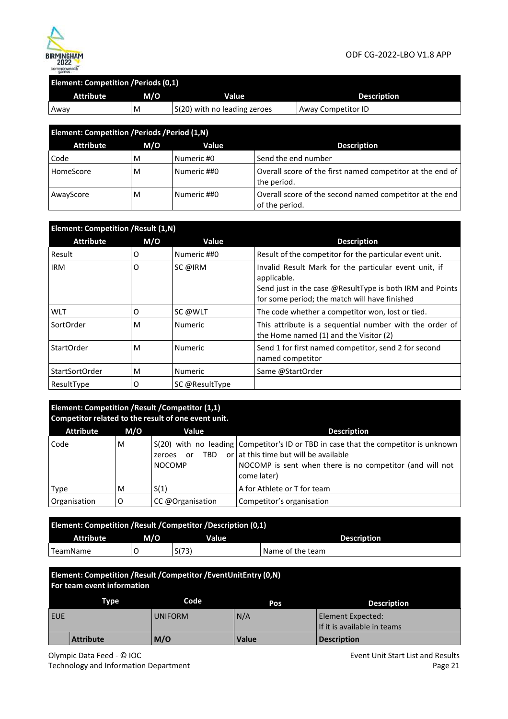

#### **Element: Competition /Periods (0,1)**

| <b>Attribute</b> | M/O | Value                        | <b>Description</b> |
|------------------|-----|------------------------------|--------------------|
| Away             | M   | S(20) with no leading zeroes | Away Competitor ID |

| Element: Competition / Periods / Period (1, N) |     |             |                                                                           |  |  |  |
|------------------------------------------------|-----|-------------|---------------------------------------------------------------------------|--|--|--|
| <b>Attribute</b>                               | M/O | Value       | <b>Description</b>                                                        |  |  |  |
| Code                                           | м   | Numeric #0  | Send the end number                                                       |  |  |  |
| HomeScore                                      | M   | Numeric ##0 | Overall score of the first named competitor at the end of<br>the period.  |  |  |  |
| AwayScore                                      | M   | Numeric ##0 | Overall score of the second named competitor at the end<br>of the period. |  |  |  |

| <b>Element: Competition / Result (1,N)</b> |     |                |                                                                                                                                                                                   |  |  |
|--------------------------------------------|-----|----------------|-----------------------------------------------------------------------------------------------------------------------------------------------------------------------------------|--|--|
| <b>Attribute</b>                           | M/O | Value          | <b>Description</b>                                                                                                                                                                |  |  |
| Result                                     | O   | Numeric ##0    | Result of the competitor for the particular event unit.                                                                                                                           |  |  |
| <b>IRM</b>                                 | O   | SC @IRM        | Invalid Result Mark for the particular event unit, if<br>applicable.<br>Send just in the case @ResultType is both IRM and Points<br>for some period; the match will have finished |  |  |
| <b>WLT</b>                                 | O   | SC @WLT        | The code whether a competitor won, lost or tied.                                                                                                                                  |  |  |
| SortOrder                                  | м   | <b>Numeric</b> | This attribute is a sequential number with the order of<br>the Home named (1) and the Visitor (2)                                                                                 |  |  |
| StartOrder                                 | м   | <b>Numeric</b> | Send 1 for first named competitor, send 2 for second<br>named competitor                                                                                                          |  |  |
| StartSortOrder                             | м   | <b>Numeric</b> | Same @StartOrder                                                                                                                                                                  |  |  |
| ResultType                                 | 0   | SC @ResultType |                                                                                                                                                                                   |  |  |

| Element: Competition / Result / Competitor (1,1)<br>Competitor related to the result of one event unit. |     |                               |                                                                                                                                                                                                                     |  |  |  |
|---------------------------------------------------------------------------------------------------------|-----|-------------------------------|---------------------------------------------------------------------------------------------------------------------------------------------------------------------------------------------------------------------|--|--|--|
| <b>Attribute</b>                                                                                        | M/O | Value                         | <b>Description</b>                                                                                                                                                                                                  |  |  |  |
| Code                                                                                                    | M   | or<br>zeroes<br><b>NOCOMP</b> | S(20) with no leading Competitor's ID or TBD in case that the competitor is unknown<br>TBD or $\vert$ at this time but will be available<br>NOCOMP is sent when there is no competitor (and will not<br>come later) |  |  |  |
| Type                                                                                                    | M   | S(1)                          | A for Athlete or T for team                                                                                                                                                                                         |  |  |  |
| Organisation                                                                                            | O   | CC @Organisation              | Competitor's organisation                                                                                                                                                                                           |  |  |  |

| Element: Competition / Result / Competitor / Description (0,1) |  |       |                  |  |  |  |
|----------------------------------------------------------------|--|-------|------------------|--|--|--|
| M/O<br><b>Attribute</b><br>Value<br><b>Description</b>         |  |       |                  |  |  |  |
| TeamName                                                       |  | S(73) | Name of the team |  |  |  |

| Element: Competition / Result / Competitor / Event Unit Entry (0, N)<br>For team event information |                  |                |              |                                                  |  |  |
|----------------------------------------------------------------------------------------------------|------------------|----------------|--------------|--------------------------------------------------|--|--|
|                                                                                                    | <b>Type</b>      | Code           | Pos          | <b>Description</b>                               |  |  |
| <b>EUE</b>                                                                                         |                  | <b>UNIFORM</b> | N/A          | Element Expected:<br>If it is available in teams |  |  |
|                                                                                                    | <b>Attribute</b> | M/O            | <b>Value</b> | <b>Description</b>                               |  |  |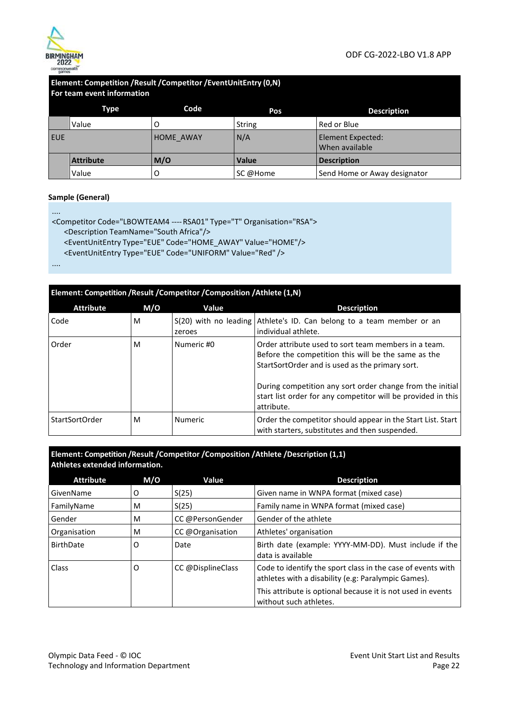

#### **Element: Competition /Result /Competitor /EventUnitEntry (0,N) For team event information**

|            | Type             | Code      | Pos           | <b>Description</b>                  |
|------------|------------------|-----------|---------------|-------------------------------------|
|            | Value            |           | <b>String</b> | Red or Blue                         |
| <b>EUE</b> |                  | HOME AWAY | N/A           | Element Expected:<br>When available |
|            | <b>Attribute</b> | M/O       | <b>Value</b>  | <b>Description</b>                  |
|            | Value            | O         | SC @Home      | Send Home or Away designator        |

#### **Sample (General)**

....

```
<Competitor Code="LBOWTEAM4 ---- RSA01" Type="T" Organisation="RSA"> 
   <Description TeamName="South Africa"/> 
   <EventUnitEntry Type="EUE" Code="HOME_AWAY" Value="HOME"/> 
   <EventUnitEntry Type="EUE" Code="UNIFORM" Value="Red" /> 
....
```

| Element: Competition / Result / Competitor / Composition / Athlete (1,N) |     |                |                                                                                                                                                                                                                                                                                                           |  |  |
|--------------------------------------------------------------------------|-----|----------------|-----------------------------------------------------------------------------------------------------------------------------------------------------------------------------------------------------------------------------------------------------------------------------------------------------------|--|--|
| <b>Attribute</b>                                                         | M/O | Value          | <b>Description</b>                                                                                                                                                                                                                                                                                        |  |  |
| Code                                                                     | м   | zeroes         | S(20) with no leading Athlete's ID. Can belong to a team member or an<br>individual athlete.                                                                                                                                                                                                              |  |  |
| Order                                                                    | м   | Numeric #0     | Order attribute used to sort team members in a team.<br>Before the competition this will be the same as the<br>StartSortOrder and is used as the primary sort.<br>During competition any sort order change from the initial<br>start list order for any competitor will be provided in this<br>attribute. |  |  |
| StartSortOrder                                                           | M   | <b>Numeric</b> | Order the competitor should appear in the Start List. Start<br>with starters, substitutes and then suspended.                                                                                                                                                                                             |  |  |

**Element: Competition /Result /Competitor /Composition /Athlete /Description (1,1) Athletes extended information.** 

| <b>Attribute</b> | M/O | Value             | <b>Description</b>                                                                                                 |
|------------------|-----|-------------------|--------------------------------------------------------------------------------------------------------------------|
| GivenName        | 0   | S(25)             | Given name in WNPA format (mixed case)                                                                             |
| FamilyName       | м   | S(25)             | Family name in WNPA format (mixed case)                                                                            |
| Gender           | м   | CC @PersonGender  | Gender of the athlete                                                                                              |
| Organisation     | м   | CC @Organisation  | Athletes' organisation                                                                                             |
| BirthDate        | O   | Date              | Birth date (example: YYYY-MM-DD). Must include if the<br>data is available                                         |
| Class            | O   | CC @DisplineClass | Code to identify the sport class in the case of events with<br>athletes with a disability (e.g: Paralympic Games). |
|                  |     |                   | This attribute is optional because it is not used in events<br>without such athletes.                              |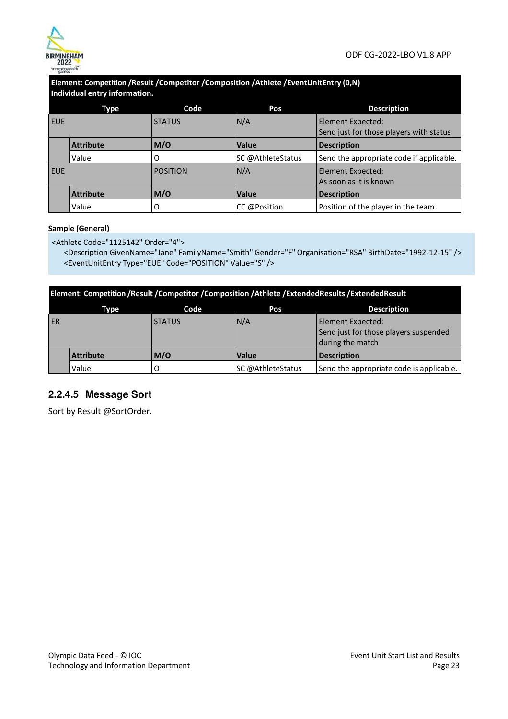

#### **Element: Competition /Result /Competitor /Composition /Athlete /EventUnitEntry (0,N) Individual entry information.**

|            | Type             | Code            | Pos               | <b>Description</b>                       |
|------------|------------------|-----------------|-------------------|------------------------------------------|
| <b>EUE</b> |                  | <b>STATUS</b>   | N/A               | Element Expected:                        |
|            |                  |                 |                   | Send just for those players with status  |
|            | <b>Attribute</b> | M/O             | <b>Value</b>      | <b>Description</b>                       |
|            | Value            | 0               | SC @AthleteStatus | Send the appropriate code if applicable. |
| <b>EUE</b> |                  | <b>POSITION</b> | N/A               | Element Expected:                        |
|            |                  |                 |                   | As soon as it is known                   |
|            | <b>Attribute</b> | M/O             | <b>Value</b>      | <b>Description</b>                       |
|            | Value            | O               | CC @Position      | Position of the player in the team.      |

#### **Sample (General)**

<Athlete Code="1125142" Order="4">

<Description GivenName="Jane" FamilyName="Smith" Gender="F" Organisation="RSA" BirthDate="1992-12-15" /> <EventUnitEntry Type="EUE" Code="POSITION" Value="S" />

|    | Element: Competition /Result /Competitor /Composition /Athlete /ExtendedResults /ExtendedResult |               |                   |                                                                                |  |  |  |
|----|-------------------------------------------------------------------------------------------------|---------------|-------------------|--------------------------------------------------------------------------------|--|--|--|
|    | Type                                                                                            | Code          | Pos               | <b>Description</b>                                                             |  |  |  |
| ER |                                                                                                 | <b>STATUS</b> | N/A               | Element Expected:<br>Send just for those players suspended<br>during the match |  |  |  |
|    | <b>Attribute</b>                                                                                | M/O           | <b>Value</b>      | <b>Description</b>                                                             |  |  |  |
|    | Value                                                                                           |               | SC @AthleteStatus | Send the appropriate code is applicable.                                       |  |  |  |

### **2.2.4.5 Message Sort**

Sort by Result @SortOrder.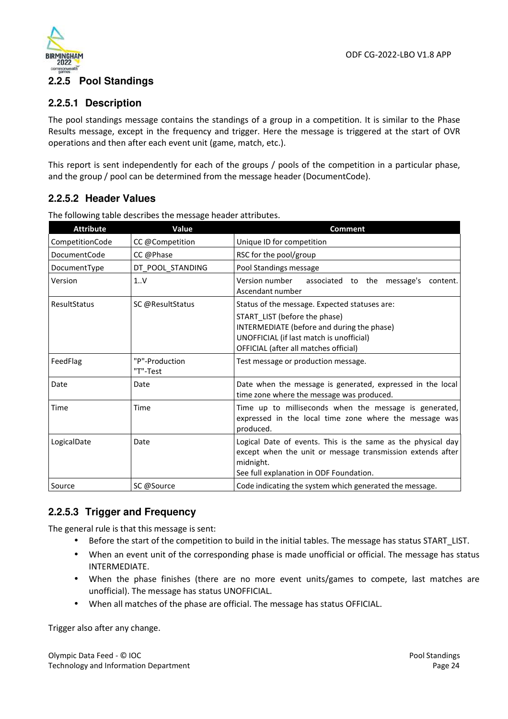

# **2.2.5 Pool Standings**

#### **2.2.5.1 Description**

The pool standings message contains the standings of a group in a competition. It is similar to the Phase Results message, except in the frequency and trigger. Here the message is triggered at the start of OVR operations and then after each event unit (game, match, etc.).

This report is sent independently for each of the groups / pools of the competition in a particular phase, and the group / pool can be determined from the message header (DocumentCode).

### **2.2.5.2 Header Values**

| <b>Attribute</b>    | Value                      | <b>Comment</b>                                                                                                                                                                     |  |  |
|---------------------|----------------------------|------------------------------------------------------------------------------------------------------------------------------------------------------------------------------------|--|--|
| CompetitionCode     | CC @Competition            | Unique ID for competition                                                                                                                                                          |  |  |
| <b>DocumentCode</b> | CC @Phase                  | RSC for the pool/group                                                                                                                                                             |  |  |
| DocumentType        | DT POOL STANDING           | Pool Standings message                                                                                                                                                             |  |  |
| Version             | 1.0V                       | Version number<br>associated to the message's<br>content.<br>Ascendant number                                                                                                      |  |  |
| ResultStatus        | SC @ResultStatus           | Status of the message. Expected statuses are:                                                                                                                                      |  |  |
|                     |                            | START LIST (before the phase)<br>INTERMEDIATE (before and during the phase)<br>UNOFFICIAL (if last match is unofficial)<br>OFFICIAL (after all matches official)                   |  |  |
| FeedFlag            | "P"-Production<br>"T"-Test | Test message or production message.                                                                                                                                                |  |  |
| Date                | Date                       | Date when the message is generated, expressed in the local<br>time zone where the message was produced.                                                                            |  |  |
| Time                | Time                       | Time up to milliseconds when the message is generated,<br>expressed in the local time zone where the message was<br>produced.                                                      |  |  |
| LogicalDate         | Date                       | Logical Date of events. This is the same as the physical day<br>except when the unit or message transmission extends after<br>midnight.<br>See full explanation in ODF Foundation. |  |  |
| Source              | SC @Source                 | Code indicating the system which generated the message.                                                                                                                            |  |  |

The following table describes the message header attributes.

### **2.2.5.3 Trigger and Frequency**

The general rule is that this message is sent:

- Before the start of the competition to build in the initial tables. The message has status START\_LIST.
- When an event unit of the corresponding phase is made unofficial or official. The message has status INTERMEDIATE.
- When the phase finishes (there are no more event units/games to compete, last matches are unofficial). The message has status UNOFFICIAL.
- When all matches of the phase are official. The message has status OFFICIAL.

Trigger also after any change.

Olympic Data Feed - © IOC Technology and Information Department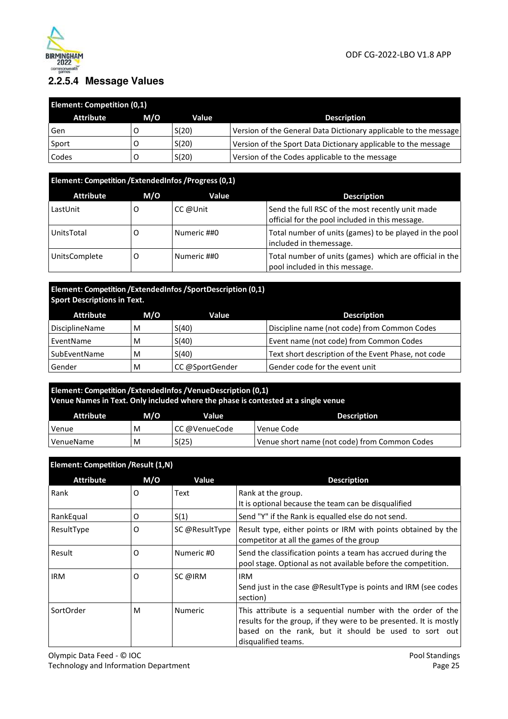

### **2.2.5.4 Message Values**

| <b>Element: Competition (0,1)</b> |     |       |                                                                  |  |  |
|-----------------------------------|-----|-------|------------------------------------------------------------------|--|--|
| <b>Attribute</b>                  | M/O | Value | <b>Description</b>                                               |  |  |
| Gen                               |     | S(20) | Version of the General Data Dictionary applicable to the message |  |  |
| ⊦Sport                            |     | S(20) | Version of the Sport Data Dictionary applicable to the message   |  |  |
| Codes                             |     | S(20) | Version of the Codes applicable to the message                   |  |  |

### **Element: Competition /ExtendedInfos /Progress (0,1)**

| <b>Attribute</b>     | M/O | Value       | <b>Description</b>                                                                                  |
|----------------------|-----|-------------|-----------------------------------------------------------------------------------------------------|
| LastUnit             |     | CC @Unit    | Send the full RSC of the most recently unit made<br>official for the pool included in this message. |
| UnitsTotal           |     | Numeric ##0 | Total number of units (games) to be played in the pool<br>included in themessage.                   |
| <b>UnitsComplete</b> |     | Numeric ##0 | Total number of units (games) which are official in the<br>pool included in this message.           |

#### **Element: Competition /ExtendedInfos /SportDescription (0,1) Sport Descriptions in Text.**

| Attribute      | M/O | Value           | <b>Description</b>                                  |
|----------------|-----|-----------------|-----------------------------------------------------|
| DisciplineName | M   | S(40)           | Discipline name (not code) from Common Codes        |
| EventName      | M   | S(40)           | Event name (not code) from Common Codes             |
| SubEventName   | M   | S(40)           | Text short description of the Event Phase, not code |
| Gender         | м   | CC @SportGender | Gender code for the event unit                      |

### **Element: Competition /ExtendedInfos /VenueDescription (0,1) Venue Names in Text. Only included where the phase is contested at a single venue**

| <b>Attribute</b> | M/O | Value         | <b>Description</b>                            |
|------------------|-----|---------------|-----------------------------------------------|
| Venue            | M   | CC @VenueCode | Venue Code                                    |
| VenueName        | M   | S(25)         | Venue short name (not code) from Common Codes |

#### **Element: Competition /Result (1,N)** Attribute M/O Value **Description** Rank  $\begin{array}{|c|c|c|c|c|}\n\hline\n0 & \text{Text} & \text{Rank at the group.} \end{array}$ It is optional because the team can be disqualified RankEqual  $\begin{vmatrix} 0 & 1 \end{vmatrix}$  S(1) Send "Y" if the Rank is equalled else do not send. ResultType  $\overline{O}$  SC @ResultType Result type, either points or IRM with points obtained by the competitor at all the games of the group Result  $\vert$  O  $\vert$  Numeric #0  $\vert$  Send the classification points a team has accrued during the pool stage. Optional as not available before the competition. IRM O SC @IRM IRM Send just in the case @ResultType is points and IRM (see codes section) SortOrder  $\vert M \vert$  Numeric This attribute is a sequential number with the order of the results for the group, if they were to be presented. It is mostly based on the rank, but it should be used to sort out disqualified teams.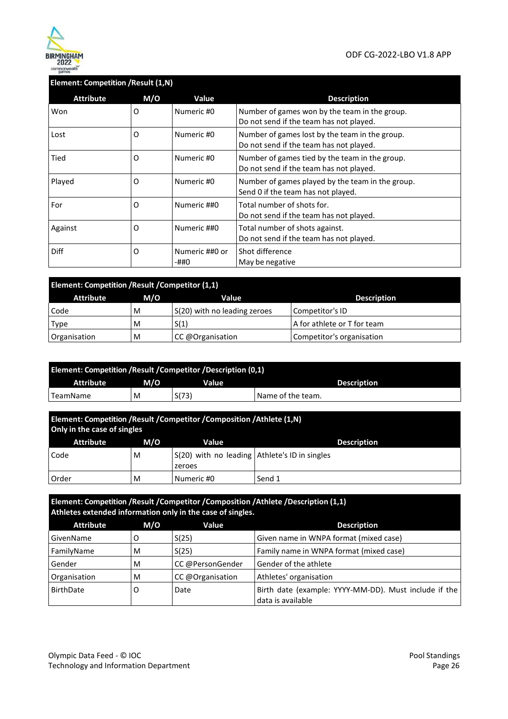

#### **Element: Competition /Result (1,N)**

| <b>Attribute</b> | M/O | Value                  | <b>Description</b>                                                                        |
|------------------|-----|------------------------|-------------------------------------------------------------------------------------------|
| Won              | O   | Numeric #0             | Number of games won by the team in the group.<br>Do not send if the team has not played.  |
| Lost             | 0   | Numeric #0             | Number of games lost by the team in the group.<br>Do not send if the team has not played. |
| Tied             | 0   | Numeric #0             | Number of games tied by the team in the group.<br>Do not send if the team has not played. |
| Played           | O   | Numeric #0             | Number of games played by the team in the group.<br>Send 0 if the team has not played.    |
| For              | O   | Numeric ##0            | Total number of shots for.<br>Do not send if the team has not played.                     |
| Against          | O   | Numeric ##0            | Total number of shots against.<br>Do not send if the team has not played.                 |
| <b>Diff</b>      | 0   | Numeric ##0 or<br>-##0 | Shot difference<br>May be negative                                                        |

| <b>Element: Competition / Result / Competitor (1,1)</b> |                    |                              |                             |  |  |  |  |
|---------------------------------------------------------|--------------------|------------------------------|-----------------------------|--|--|--|--|
| Attribute                                               | <b>Description</b> |                              |                             |  |  |  |  |
| Code                                                    | M                  | S(20) with no leading zeroes | Competitor's ID             |  |  |  |  |
| Type                                                    | м                  | S(1)                         | A for athlete or T for team |  |  |  |  |
| Organisation                                            | M                  | CC @Organisation             | Competitor's organisation   |  |  |  |  |

| Element: Competition / Result / Competitor / Description (0,1) |     |       |                     |
|----------------------------------------------------------------|-----|-------|---------------------|
| Attribute                                                      | M/O | Value | <b>Description</b>  |
| TeamName                                                       | M   | S(73) | ' Name of the team. |

| Element: Competition /Result /Competitor /Composition /Athlete (1,N)<br>Only in the case of singles |     |                                                           |                    |
|-----------------------------------------------------------------------------------------------------|-----|-----------------------------------------------------------|--------------------|
| <b>Attribute</b>                                                                                    | M/O | Value                                                     | <b>Description</b> |
| Code                                                                                                | M   | $S(20)$ with no leading Athlete's ID in singles<br>zeroes |                    |
| Order                                                                                               | M   | Numeric #0                                                | Send 1             |

| Element: Competition /Result /Competitor /Composition /Athlete /Description (1,1)<br>Athletes extended information only in the case of singles. |     |                  |                                                                            |
|-------------------------------------------------------------------------------------------------------------------------------------------------|-----|------------------|----------------------------------------------------------------------------|
| <b>Attribute</b>                                                                                                                                | M/O | Value            | <b>Description</b>                                                         |
| GivenName                                                                                                                                       | O   | S(25)            | Given name in WNPA format (mixed case)                                     |
| FamilyName                                                                                                                                      | M   | S(25)            | Family name in WNPA format (mixed case)                                    |
| Gender                                                                                                                                          | M   | CC @PersonGender | Gender of the athlete                                                      |
| Organisation                                                                                                                                    | M   | CC @Organisation | Athletes' organisation                                                     |
| BirthDate                                                                                                                                       | O   | Date             | Birth date (example: YYYY-MM-DD). Must include if the<br>data is available |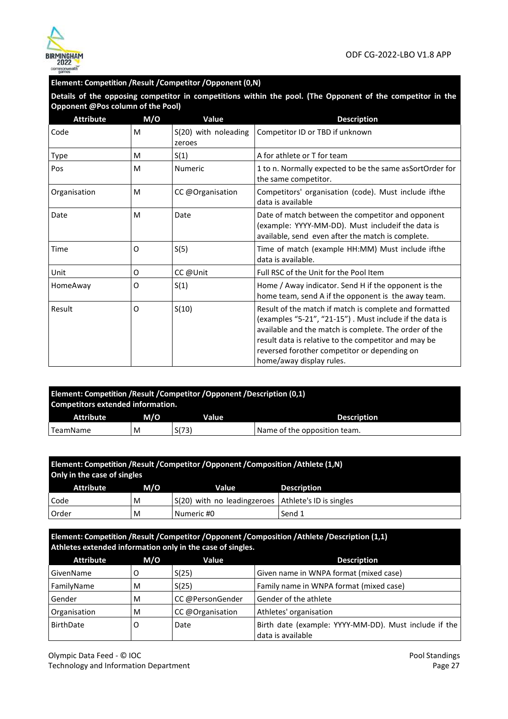

#### **Element: Competition /Result /Competitor /Opponent (0,N)**

**Details of the opposing competitor in competitions within the pool. (The Opponent of the competitor in the Opponent @Pos column of the Pool)** 

| <b>Attribute</b> | M/O      | Value                          | <b>Description</b>                                                                                                                                                                                                                                                                                             |
|------------------|----------|--------------------------------|----------------------------------------------------------------------------------------------------------------------------------------------------------------------------------------------------------------------------------------------------------------------------------------------------------------|
| Code             | M        | S(20) with noleading<br>zeroes | Competitor ID or TBD if unknown                                                                                                                                                                                                                                                                                |
| Type             | M        | S(1)                           | A for athlete or T for team                                                                                                                                                                                                                                                                                    |
| Pos              | M        | <b>Numeric</b>                 | 1 to n. Normally expected to be the same asSortOrder for<br>the same competitor.                                                                                                                                                                                                                               |
| Organisation     | M        | CC @Organisation               | Competitors' organisation (code). Must include ifthe<br>data is available                                                                                                                                                                                                                                      |
| Date             | M        | Date                           | Date of match between the competitor and opponent<br>(example: YYYY-MM-DD). Must includeif the data is<br>available, send even after the match is complete.                                                                                                                                                    |
| Time             | $\Omega$ | S(5)                           | Time of match (example HH:MM) Must include ifthe<br>data is available.                                                                                                                                                                                                                                         |
| Unit             | 0        | CC @Unit                       | Full RSC of the Unit for the Pool Item                                                                                                                                                                                                                                                                         |
| HomeAway         | 0        | S(1)                           | Home / Away indicator. Send H if the opponent is the<br>home team, send A if the opponent is the away team.                                                                                                                                                                                                    |
| Result           | O        | S(10)                          | Result of the match if match is complete and formatted<br>(examples "5-21", "21-15"). Must include if the data is<br>available and the match is complete. The order of the<br>result data is relative to the competitor and may be<br>reversed forother competitor or depending on<br>home/away display rules. |

| Element: Competition / Result / Competitor / Opponent / Description (0,1)<br>Competitors extended information. |     |       |                              |
|----------------------------------------------------------------------------------------------------------------|-----|-------|------------------------------|
| Attribute                                                                                                      | M/O | Value | <b>Description</b>           |
| TeamName                                                                                                       | M   | S(73) | Name of the opposition team. |

| Element: Competition / Result / Competitor / Opponent / Composition / Athlete (1,N)<br>Only in the case of singles |     |                                                       |                    |  |
|--------------------------------------------------------------------------------------------------------------------|-----|-------------------------------------------------------|--------------------|--|
| Attribute                                                                                                          | M/O | Value                                                 | <b>Description</b> |  |
| Code                                                                                                               | M   | S(20) with no leadingzeroes   Athlete's ID is singles |                    |  |
| Order                                                                                                              | M   | Numeric #0                                            | Send 1             |  |

**Element: Competition /Result /Competitor /Opponent /Composition /Athlete /Description (1,1) Athletes extended information only in the case of singles.** 

| <b>Attribute</b> | M/O | Value            | <b>Description</b>                                                         |
|------------------|-----|------------------|----------------------------------------------------------------------------|
| GivenName        |     | S(25)            | Given name in WNPA format (mixed case)                                     |
| FamilyName       | M   | S(25)            | Family name in WNPA format (mixed case)                                    |
| Gender           | M   | CC @PersonGender | Gender of the athlete                                                      |
| Organisation     | M   | CC @Organisation | Athletes' organisation                                                     |
| <b>BirthDate</b> | O   | Date             | Birth date (example: YYYY-MM-DD). Must include if the<br>data is available |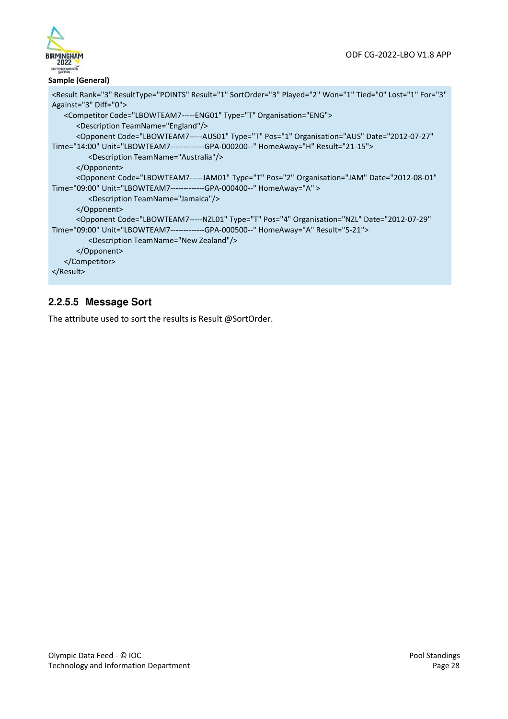

#### **Sample (General)**

```
<Result Rank="3" ResultType="POINTS" Result="1" SortOrder="3" Played="2" Won="1" Tied="0" Lost="1" For="3" 
Against="3" Diff="0"> 
   <Competitor Code="LBOWTEAM7 ----- ENG01" Type="T" Organisation="ENG"> 
      <Description TeamName="England"/> 
      <Opponent Code="LBOWTEAM7-----AUS01" Type="T" Pos="1" Organisation="AUS" Date="2012-07-27" 
Time="14:00" Unit="LBOWTEAM7-------------GPA-000200--" HomeAway="H" Result="21-15"> 
         <Description TeamName="Australia"/> 
      </Opponent> 
      <Opponent Code="LBOWTEAM7-----JAM01" Type="T" Pos="2" Organisation="JAM" Date="2012-08-01" 
Time="09:00" Unit="LBOWTEAM7-------------GPA-000400--" HomeAway="A" > 
         <Description TeamName="Jamaica"/> 
      </Opponent> 
      <Opponent Code="LBOWTEAM7-----NZL01" Type="T" Pos="4" Organisation="NZL" Date="2012-07-29" 
Time="09:00" Unit="LBOWTEAM7-------------GPA-000500--" HomeAway="A" Result="5-21"> 
         <Description TeamName="New Zealand"/> 
      </Opponent> 
   </Competitor> 
</Result>
```
### **2.2.5.5 Message Sort**

The attribute used to sort the results is Result @SortOrder.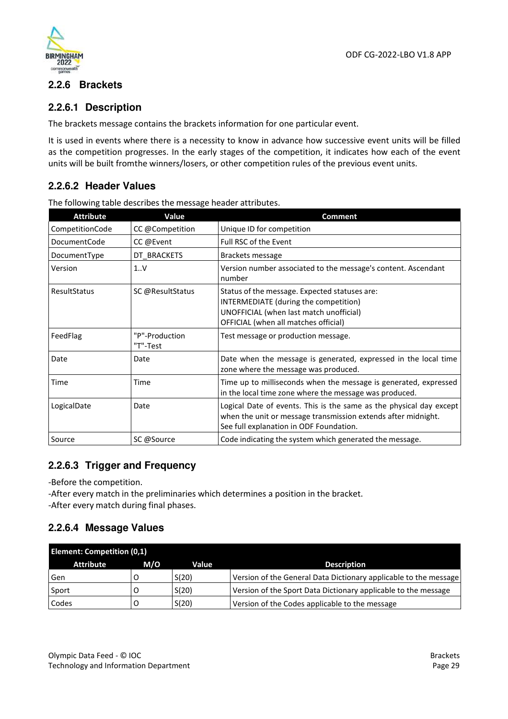



### **2.2.6 Brackets**

### **2.2.6.1 Description**

The brackets message contains the brackets information for one particular event.

It is used in events where there is a necessity to know in advance how successive event units will be filled as the competition progresses. In the early stages of the competition, it indicates how each of the event units will be built from the winners/losers, or other competition rules of the previous event units.

### **2.2.6.2 Header Values**

The following table describes the message header attributes.

| <b>Attribute</b>    | Value                      | <b>Comment</b>                                                                                                                                                                  |
|---------------------|----------------------------|---------------------------------------------------------------------------------------------------------------------------------------------------------------------------------|
| CompetitionCode     | CC @Competition            | Unique ID for competition                                                                                                                                                       |
| <b>DocumentCode</b> | CC @Event                  | <b>Full RSC of the Event</b>                                                                                                                                                    |
| DocumentType        | DT BRACKETS                | Brackets message                                                                                                                                                                |
| Version             | 1.1V                       | Version number associated to the message's content. Ascendant<br>number                                                                                                         |
| ResultStatus        | SC @ResultStatus           | Status of the message. Expected statuses are:<br>INTERMEDIATE (during the competition)<br>UNOFFICIAL (when last match unofficial)<br>OFFICIAL (when all matches official)       |
| FeedFlag            | "P"-Production<br>"T"-Test | Test message or production message.                                                                                                                                             |
| Date                | Date                       | Date when the message is generated, expressed in the local time<br>zone where the message was produced.                                                                         |
| Time                | Time                       | Time up to milliseconds when the message is generated, expressed<br>in the local time zone where the message was produced.                                                      |
| LogicalDate         | Date                       | Logical Date of events. This is the same as the physical day except<br>when the unit or message transmission extends after midnight.<br>See full explanation in ODF Foundation. |
| Source              | SC @Source                 | Code indicating the system which generated the message.                                                                                                                         |

### **2.2.6.3 Trigger and Frequency**

-Before the competition.

-After every match in the preliminaries which determines a position in the bracket. -After every match during final phases.

### **2.2.6.4 Message Values**

| <b>Element: Competition (0,1)</b> |     |       |                                                                  |
|-----------------------------------|-----|-------|------------------------------------------------------------------|
| Attribute                         | M/O | Value | <b>Description</b>                                               |
| Gen                               |     | S(20) | Version of the General Data Dictionary applicable to the message |
| Sport                             |     | S(20) | Version of the Sport Data Dictionary applicable to the message   |
| Codes                             |     | S(20) | Version of the Codes applicable to the message                   |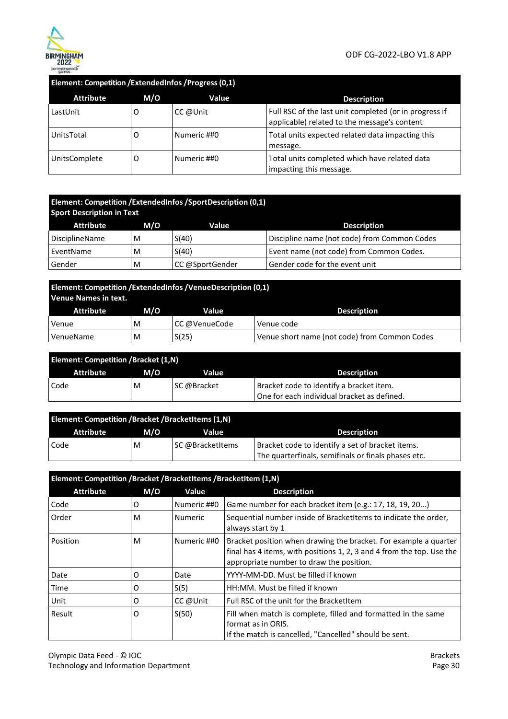

#### **Element: Competition /ExtendedInfos /Progress (0,1)**

| <b>Attribute</b> | M/O | Value       | <b>Description</b>                                                                                     |
|------------------|-----|-------------|--------------------------------------------------------------------------------------------------------|
| LastUnit         | Ő   | CC @Unit    | Full RSC of the last unit completed (or in progress if<br>applicable) related to the message's content |
| UnitsTotal       | Ő   | Numeric ##0 | Total units expected related data impacting this<br>message.                                           |
| UnitsComplete    | Ő   | Numeric ##0 | Total units completed which have related data<br>impacting this message.                               |

# **Element: Competition /ExtendedInfos /SportDescription (0,1)**

| <b>Sport Description in Text</b> |     |                 |                                              |  |
|----------------------------------|-----|-----------------|----------------------------------------------|--|
| Attribute                        | M/O | Value           | <b>Description</b>                           |  |
| DisciplineName                   | M   | S(40)           | Discipline name (not code) from Common Codes |  |
| EventName                        | M   | S(40)           | Event name (not code) from Common Codes.     |  |
| Gender                           | M   | CC @SportGender | Gender code for the event unit               |  |

# **Element: Competition /ExtendedInfos /VenueDescription (0,1) Venue Names in text.**

| Attribute | M/O | Value          | <b>Description</b>                            |
|-----------|-----|----------------|-----------------------------------------------|
| Venue     | M   | ∣CC @VenueCode | Venue code                                    |
| VenueName | M   | S(25)          | Venue short name (not code) from Common Codes |

| <b>Element: Competition /Bracket (1,N)</b> |     |             |                                             |
|--------------------------------------------|-----|-------------|---------------------------------------------|
| <b>Attribute</b>                           | M/O | Value       | <b>Description</b>                          |
| Code                                       | M   | SC @Bracket | Bracket code to identify a bracket item.    |
|                                            |     |             | One for each individual bracket as defined. |

| <b>Element: Competition /Bracket /BracketItems (1,N)</b> |     |                  |                                                     |  |
|----------------------------------------------------------|-----|------------------|-----------------------------------------------------|--|
| Attribute                                                | M/O | Value            | <b>Description</b>                                  |  |
| Code                                                     | M   | SC @BracketItems | Bracket code to identify a set of bracket items.    |  |
|                                                          |     |                  | The quarterfinals, semifinals or finals phases etc. |  |

#### **Element: Competition /Bracket /BracketItems /BracketItem (1,N)**  Attribute M/O Value **Description** Code  $\vert$  O  $\vert$  Numeric ##0 Game number for each bracket item (e.g.: 17, 18, 19, 20...) Order M Numeric Sequential number inside of BracketItems to indicate the order, always start by 1 Position  $|M$  Numeric ##0 Bracket position when drawing the bracket. For example a quarter final has 4 items, with positions 1, 2, 3 and 4 from the top. Use the appropriate number to draw the position. Date **Date Date Date YYYY-MM-DD. Must be filled if known** Time  $\begin{vmatrix} 0 & 0 \\ \end{vmatrix}$  S(5) HH:MM. Must be filled if known Unit O CC @Unit Full RSC of the unit for the BracketItem Result  $\begin{vmatrix} 0 & 5(50) \end{vmatrix}$  Fill when match is complete, filled and formatted in the same format as in ORIS. If the match is cancelled, "Cancelled" should be sent.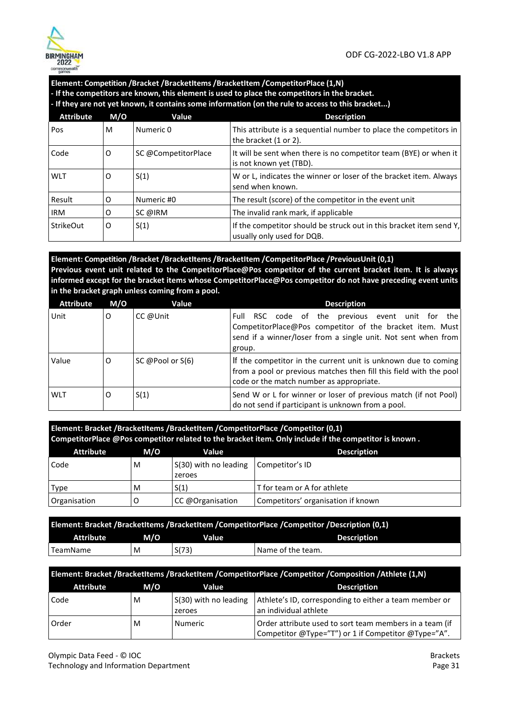

#### **Element: Competition /Bracket /BracketItems /BracketItem /CompetitorPlace (1,N) - If the competitors are known, this element is used to place the competitors in the bracket.**

**- If they are not yet known, it contains some information (on the rule to access to this bracket...)** 

| <b>Attribute</b> | M/O | Value               | <b>Description</b>                                                                                |
|------------------|-----|---------------------|---------------------------------------------------------------------------------------------------|
| Pos              | M   | Numeric 0           | This attribute is a sequential number to place the competitors in<br>the bracket (1 or 2).        |
| Code             | O   | SC @CompetitorPlace | It will be sent when there is no competitor team (BYE) or when it<br>is not known yet (TBD).      |
| <b>WLT</b>       | O   | S(1)                | W or L, indicates the winner or loser of the bracket item. Always<br>send when known.             |
| Result           | O   | Numeric #0          | The result (score) of the competitor in the event unit                                            |
| <b>IRM</b>       | 0   | SC @IRM             | The invalid rank mark, if applicable                                                              |
| <b>StrikeOut</b> | 0   | S(1)                | If the competitor should be struck out in this bracket item send Y,<br>usually only used for DQB. |

**Element: Competition /Bracket /BracketItems /BracketItem /CompetitorPlace /PreviousUnit (0,1) Previous event unit related to the CompetitorPlace@Pos competitor of the current bracket item. It is always informed except for the bracket items whose CompetitorPlace@Pos competitor do not have preceding event units in the bracket graph unless coming from a pool.** 

| <b>Attribute</b> | M/O | Value              | <b>Description</b>                                                                                                                                                                         |
|------------------|-----|--------------------|--------------------------------------------------------------------------------------------------------------------------------------------------------------------------------------------|
| Unit             | O   | CC @Unit           | RSC code of the previous event unit for the<br>Full<br>CompetitorPlace@Pos competitor of the bracket item. Must<br>send if a winner/loser from a single unit. Not sent when from<br>group. |
| Value            | O   | SC @Pool or $S(6)$ | If the competitor in the current unit is unknown due to coming<br>from a pool or previous matches then fill this field with the pool<br>code or the match number as appropriate.           |
| <b>WLT</b>       | O   | S(1)               | Send W or L for winner or loser of previous match (if not Pool)<br>do not send if participant is unknown from a pool.                                                                      |

**Element: Bracket /BracketItems /BracketItem /CompetitorPlace /Competitor (0,1) CompetitorPlace @Pos competitor related to the bracket item. Only include if the competitor is known .**

| Attribute    | M/O | Value                 | <b>Description</b>                 |
|--------------|-----|-----------------------|------------------------------------|
| Code         | M   | S(30) with no leading | Competitor's ID                    |
|              |     | zeroes                |                                    |
| Type         | M   | S(1)                  | T for team or A for athlete        |
| Organisation |     | CC @Organisation      | Competitors' organisation if known |

| Element: Bracket /BracketItems /BracketItem /CompetitorPlace /Competitor /Description (0,1) |     |              |                    |
|---------------------------------------------------------------------------------------------|-----|--------------|--------------------|
| <b>Attribute</b>                                                                            | M/O | <b>Value</b> | <b>Description</b> |
| 'TeamName                                                                                   | M   | S(73)        | Name of the team.  |

| Element: Bracket /BracketItems /BracketItem /CompetitorPlace /Competitor /Composition /Athlete (1,N) |     |                                 |                                                                                                                |
|------------------------------------------------------------------------------------------------------|-----|---------------------------------|----------------------------------------------------------------------------------------------------------------|
| <b>Attribute</b>                                                                                     | M/O | Value                           | <b>Description</b>                                                                                             |
| Code                                                                                                 | M   | S(30) with no leading<br>zeroes | Athlete's ID, corresponding to either a team member or<br>an individual athlete                                |
| Order                                                                                                | M   | Numeric                         | Order attribute used to sort team members in a team (if<br>Competitor @Type="T") or 1 if Competitor @Type="A". |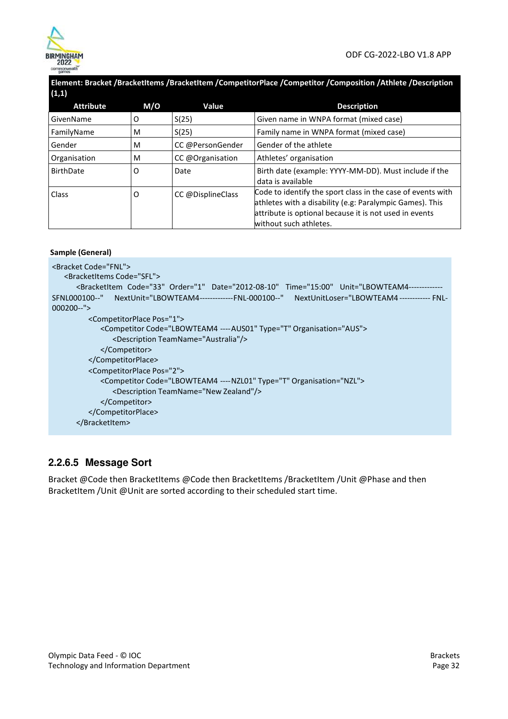

**Element: Bracket /BracketItems /BracketItem /CompetitorPlace /Competitor /Composition /Athlete /Description**   $(1,1)$ 

| $\cdots$         |     |                   |                                                                                                                         |
|------------------|-----|-------------------|-------------------------------------------------------------------------------------------------------------------------|
| <b>Attribute</b> | M/O | Value             | <b>Description</b>                                                                                                      |
| GivenName        | O   | S(25)             | Given name in WNPA format (mixed case)                                                                                  |
| FamilyName       | M   | S(25)             | Family name in WNPA format (mixed case)                                                                                 |
| Gender           | M   | CC @PersonGender  | Gender of the athlete                                                                                                   |
| Organisation     | M   | CC @Organisation  | Athletes' organisation                                                                                                  |
| <b>BirthDate</b> | O   | Date              | Birth date (example: YYYY-MM-DD). Must include if the<br>data is available                                              |
| Class            | O   | CC @DisplineClass | Code to identify the sport class in the case of events with<br>athletes with a disability (e.g: Paralympic Games). This |
|                  |     |                   | attribute is optional because it is not used in events<br>without such athletes.                                        |
|                  |     |                   |                                                                                                                         |

```
Sample (General)
```

```
<Bracket Code="FNL">
   <BracketItems Code="SFL"> 
      <BracketItem Code="33" Order="1" Date="2012-08-10" Time="15:00" Unit="LBOWTEAM4-------
SFNL000100--"
NextUnit="LBOWTEAM4-------------FNL-000100--" NextUnitLoser="LBOWTEAM4 ------------ FNL-
000200--">
         <CompetitorPlace Pos="1">
            <Competitor Code="LBOWTEAM4 ---- AUS01" Type="T" Organisation="AUS">
               <Description TeamName="Australia"/> 
            </Competitor> 
         </CompetitorPlace> 
         <CompetitorPlace Pos="2"> 
            <Competitor Code="LBOWTEAM4 ---- NZL01" Type="T" Organisation="NZL">
               <Description TeamName="New Zealand"/> 
            </Competitor> 
         </CompetitorPlace> 
      </BracketItem>
```
### **2.2.6.5 Message Sort**

Bracket @Code then BracketItems @Code then BracketItems /BracketItem /Unit @Phase and then BracketItem /Unit @Unit are sorted according to their scheduled start time.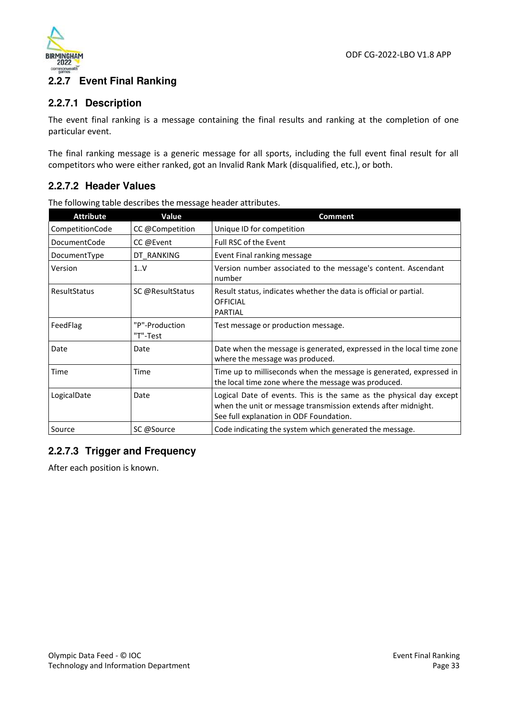

### **2.2.7 Event Final Ranking**

### **2.2.7.1 Description**

The event final ranking is a message containing the final results and ranking at the completion of one particular event.

The final ranking message is a generic message for all sports, including the full event final result for all competitors who were either ranked, got an Invalid Rank Mark (disqualified, etc.), or both.

### **2.2.7.2 Header Values**

The following table describes the message header attributes.

| <b>Attribute</b> | Value                      | <b>Comment</b>                                                                                                                                                                  |
|------------------|----------------------------|---------------------------------------------------------------------------------------------------------------------------------------------------------------------------------|
| CompetitionCode  | CC @Competition            | Unique ID for competition                                                                                                                                                       |
| DocumentCode     | CC @Event                  | <b>Full RSC of the Event</b>                                                                                                                                                    |
| DocumentType     | DT RANKING                 | Event Final ranking message                                                                                                                                                     |
| Version          | 1.0V                       | Version number associated to the message's content. Ascendant<br>number                                                                                                         |
| ResultStatus     | SC @ResultStatus           | Result status, indicates whether the data is official or partial.<br><b>OFFICIAL</b><br><b>PARTIAL</b>                                                                          |
| FeedFlag         | "P"-Production<br>"T"-Test | Test message or production message.                                                                                                                                             |
| Date             | Date                       | Date when the message is generated, expressed in the local time zone<br>where the message was produced.                                                                         |
| Time             | Time                       | Time up to milliseconds when the message is generated, expressed in<br>the local time zone where the message was produced.                                                      |
| LogicalDate      | Date                       | Logical Date of events. This is the same as the physical day except<br>when the unit or message transmission extends after midnight.<br>See full explanation in ODF Foundation. |
| Source           | SC @Source                 | Code indicating the system which generated the message.                                                                                                                         |

### **2.2.7.3 Trigger and Frequency**

After each position is known.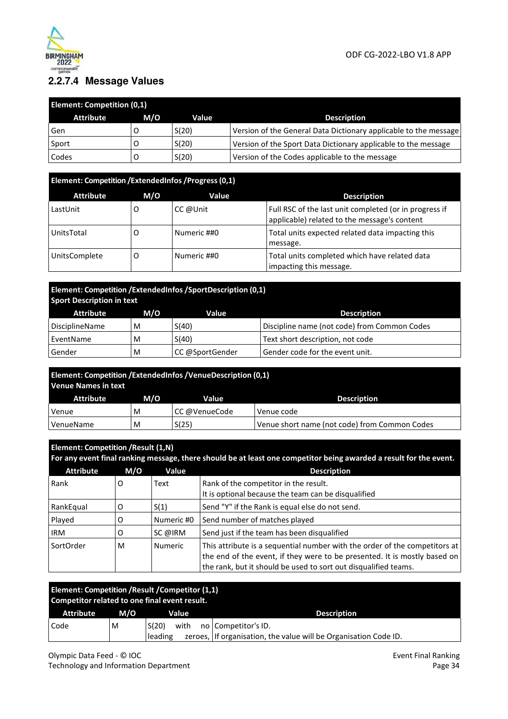

### **2.2.7.4 Message Values**

| <b>Element: Competition (0,1)</b> |     |       |                                                                  |  |
|-----------------------------------|-----|-------|------------------------------------------------------------------|--|
| <b>Attribute</b>                  | M/O | Value | <b>Description</b>                                               |  |
| Gen                               |     | S(20) | Version of the General Data Dictionary applicable to the message |  |
| Sport                             |     | S(20) | Version of the Sport Data Dictionary applicable to the message   |  |
| Codes                             |     | S(20) | Version of the Codes applicable to the message                   |  |

| Element: Competition / Extended Infos / Progress (0,1) |     |             |                                                                                                        |
|--------------------------------------------------------|-----|-------------|--------------------------------------------------------------------------------------------------------|
| <b>Attribute</b>                                       | M/O | Value       | <b>Description</b>                                                                                     |
| LastUnit                                               |     | CC @Unit    | Full RSC of the last unit completed (or in progress if<br>applicable) related to the message's content |
| UnitsTotal                                             | O   | Numeric ##0 | Total units expected related data impacting this<br>message.                                           |
| <b>UnitsComplete</b>                                   | O   | Numeric ##0 | Total units completed which have related data<br>impacting this message.                               |

### **Element: Competition /ExtendedInfos /SportDescription (0,1) Sport Description in text**

| Attribute             | M/O | Value           | <b>Description</b>                           |
|-----------------------|-----|-----------------|----------------------------------------------|
| <b>DisciplineName</b> | M   | S(40)           | Discipline name (not code) from Common Codes |
| EventName             | M   | S(40)           | Text short description, not code             |
| Gender                | M   | CC @SportGender | Gender code for the event unit.              |

| <b>Element: Competition /ExtendedInfos /VenueDescription (0,1)</b><br><b>Venue Names in text</b> |     |               |                                               |
|--------------------------------------------------------------------------------------------------|-----|---------------|-----------------------------------------------|
| <b>Attribute</b>                                                                                 | M/O | Value         | <b>Description</b>                            |
| Venue                                                                                            | M   | CC @VenueCode | Venue code                                    |
| VenueName                                                                                        | M   | S(25)         | Venue short name (not code) from Common Codes |

|                  | <b>Element: Competition / Result (1,N)</b><br>For any event final ranking message, there should be at least one competitor being awarded a result for the event. |                |                                                                                                                                                                                                                            |  |  |
|------------------|------------------------------------------------------------------------------------------------------------------------------------------------------------------|----------------|----------------------------------------------------------------------------------------------------------------------------------------------------------------------------------------------------------------------------|--|--|
| <b>Attribute</b> | M/O                                                                                                                                                              | Value          | <b>Description</b>                                                                                                                                                                                                         |  |  |
| Rank             | O                                                                                                                                                                | Text           | Rank of the competitor in the result.<br>It is optional because the team can be disqualified                                                                                                                               |  |  |
| RankEqual        | O                                                                                                                                                                | S(1)           | Send "Y" if the Rank is equal else do not send.                                                                                                                                                                            |  |  |
| Played           | O                                                                                                                                                                | Numeric #0     | Send number of matches played                                                                                                                                                                                              |  |  |
| <b>IRM</b>       | O                                                                                                                                                                | SC @IRM        | Send just if the team has been disqualified                                                                                                                                                                                |  |  |
| SortOrder        | M                                                                                                                                                                | <b>Numeric</b> | This attribute is a sequential number with the order of the competitors at<br>the end of the event, if they were to be presented. It is mostly based on<br>the rank, but it should be used to sort out disqualified teams. |  |  |

| Element: Competition / Result / Competitor (1,1)<br>Competitor related to one final event result. |     |                          |                                                                                           |
|---------------------------------------------------------------------------------------------------|-----|--------------------------|-------------------------------------------------------------------------------------------|
| <b>Attribute</b>                                                                                  | M/O | Value                    | <b>Description</b>                                                                        |
| Code                                                                                              | M   | S(20)<br>with<br>leading | no   Competitor's ID.<br>zeroes, If organisation, the value will be Organisation Code ID. |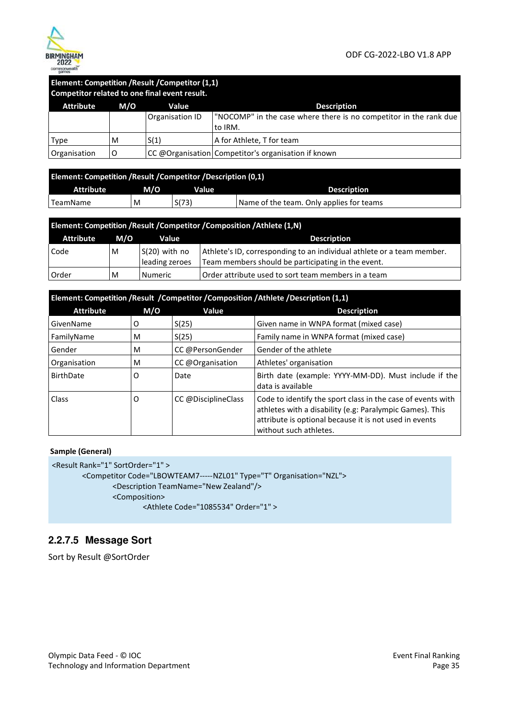

#### **Element: Competition /Result /Competitor (1,1) Competitor related to one final event result.**

| <b>Attribute</b> | M/O | Value           | <b>Description</b>                                                |
|------------------|-----|-----------------|-------------------------------------------------------------------|
|                  |     | Organisation ID | "NOCOMP" in the case where there is no competitor in the rank due |
|                  |     |                 | to IRM.                                                           |
| Type             | M   | S(1)            | A for Athlete, T for team                                         |
| Organisation     |     |                 | CC @Organisation Competitor's organisation if known               |

| Element: Competition / Result / Competitor / Description (0,1) |     |       |                                          |
|----------------------------------------------------------------|-----|-------|------------------------------------------|
| <b>Attribute</b>                                               | M/O | Value | <b>Description</b>                       |
| 'TeamName                                                      | M   | S(73) | Name of the team. Only applies for teams |

| Element: Competition / Result / Competitor / Composition / Athlete (1,N) |     |                                   |                                                                                                                              |  |  |
|--------------------------------------------------------------------------|-----|-----------------------------------|------------------------------------------------------------------------------------------------------------------------------|--|--|
| <b>Attribute</b>                                                         | M/O | Value                             | <b>Description</b>                                                                                                           |  |  |
| Code                                                                     | M   | $S(20)$ with no<br>leading zeroes | Athlete's ID, corresponding to an individual athlete or a team member.<br>Team members should be participating in the event. |  |  |
| Order                                                                    | M   | Numeric                           | Order attribute used to sort team members in a team                                                                          |  |  |

| Element: Competition /Result /Competitor /Composition /Athlete /Description (1,1) |     |                     |                                                                                                                                                                                                             |
|-----------------------------------------------------------------------------------|-----|---------------------|-------------------------------------------------------------------------------------------------------------------------------------------------------------------------------------------------------------|
| <b>Attribute</b>                                                                  | M/O | Value               | <b>Description</b>                                                                                                                                                                                          |
| GivenName                                                                         | O   | S(25)               | Given name in WNPA format (mixed case)                                                                                                                                                                      |
| FamilyName                                                                        | M   | S(25)               | Family name in WNPA format (mixed case)                                                                                                                                                                     |
| Gender                                                                            | M   | CC @PersonGender    | Gender of the athlete                                                                                                                                                                                       |
| Organisation                                                                      | M   | CC @Organisation    | Athletes' organisation                                                                                                                                                                                      |
| <b>BirthDate</b>                                                                  | 0   | Date                | Birth date (example: YYYY-MM-DD). Must include if the<br>data is available                                                                                                                                  |
| Class                                                                             | O   | CC @DisciplineClass | Code to identify the sport class in the case of events with<br>athletes with a disability (e.g: Paralympic Games). This<br>attribute is optional because it is not used in events<br>without such athletes. |

#### **Sample (General)**

<Result Rank="1" SortOrder="1" >

```
<Competitor Code="LBOWTEAM7----- NZL01" Type="T" Organisation="NZL"> 
        <Description TeamName="New Zealand"/> 
        <Composition>
```

```
<Athlete Code="1085534" Order="1" >
```
### **2.2.7.5 Message Sort**

Sort by Result @SortOrder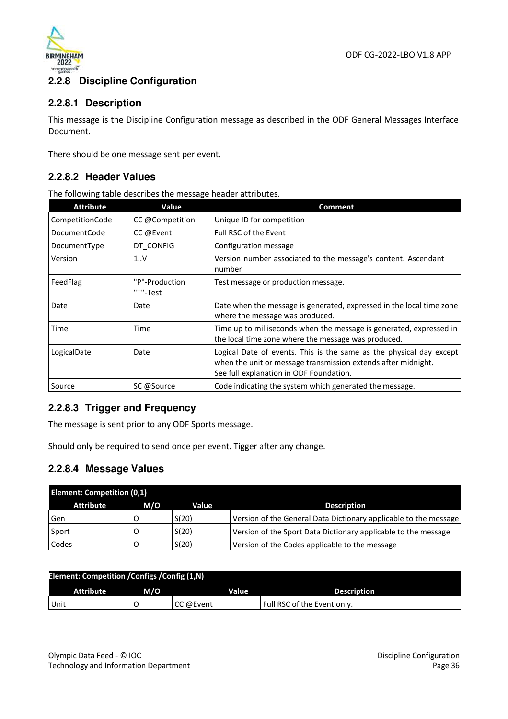

### **2.2.8 Discipline Configuration**

### **2.2.8.1 Description**

This message is the Discipline Configuration message as described in the ODF General Messages Interface Document.

There should be one message sent per event.

### **2.2.8.2 Header Values**

The following table describes the message header attributes.

| <b>Attribute</b> | Value                      | Comment                                                                                                                                                                         |
|------------------|----------------------------|---------------------------------------------------------------------------------------------------------------------------------------------------------------------------------|
| CompetitionCode  | CC @Competition            | Unique ID for competition                                                                                                                                                       |
| DocumentCode     | CC @Event                  | <b>Full RSC of the Event</b>                                                                                                                                                    |
| DocumentType     | DT CONFIG                  | Configuration message                                                                                                                                                           |
| Version          | 1V                         | Version number associated to the message's content. Ascendant<br>number                                                                                                         |
| FeedFlag         | "P"-Production<br>"T"-Test | Test message or production message.                                                                                                                                             |
| Date             | Date                       | Date when the message is generated, expressed in the local time zone<br>where the message was produced.                                                                         |
| Time             | Time                       | Time up to milliseconds when the message is generated, expressed in<br>the local time zone where the message was produced.                                                      |
| LogicalDate      | Date                       | Logical Date of events. This is the same as the physical day except<br>when the unit or message transmission extends after midnight.<br>See full explanation in ODF Foundation. |
| Source           | SC @Source                 | Code indicating the system which generated the message.                                                                                                                         |

### **2.2.8.3 Trigger and Frequency**

The message is sent prior to any ODF Sports message.

Should only be required to send once per event. Tigger after any change.

### **2.2.8.4 Message Values**

| <b>Element: Competition (0,1)</b> |     |       |                                                                  |
|-----------------------------------|-----|-------|------------------------------------------------------------------|
| <b>Attribute</b>                  | M/O | Value | <b>Description</b>                                               |
| Gen                               |     | S(20) | Version of the General Data Dictionary applicable to the message |
| Sport                             |     | S(20) | Version of the Sport Data Dictionary applicable to the message   |
| Codes                             |     | S(20) | Version of the Codes applicable to the message                   |

| Element: Competition / Configs / Config (1,N) |     |           |                             |
|-----------------------------------------------|-----|-----------|-----------------------------|
| <b>Attribute</b>                              | M/O | Value     | <b>Description</b>          |
| Unit                                          |     | CC @Event | Full RSC of the Event only. |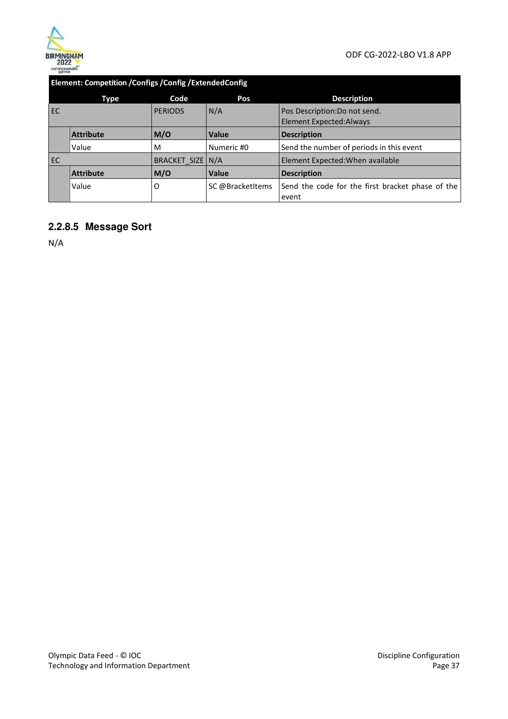

### **Element: Competition /Configs /Config /ExtendedConfig**

|    | Type             | Code             | Pos              | <b>Description</b>                               |
|----|------------------|------------------|------------------|--------------------------------------------------|
| EC |                  | <b>PERIODS</b>   | N/A              | Pos Description: Do not send.                    |
|    |                  |                  |                  | <b>Element Expected: Always</b>                  |
|    | <b>Attribute</b> | M/O              | <b>Value</b>     | <b>Description</b>                               |
|    | Value            | M                | Numeric #0       | Send the number of periods in this event         |
| EC |                  | BRACKET SIZE N/A |                  | Element Expected: When available                 |
|    | <b>Attribute</b> | M/O              | <b>Value</b>     | <b>Description</b>                               |
|    | Value            | 0                | SC @BracketItems | Send the code for the first bracket phase of the |
|    |                  |                  |                  | event                                            |

### **2.2.8.5 Message Sort**

N/A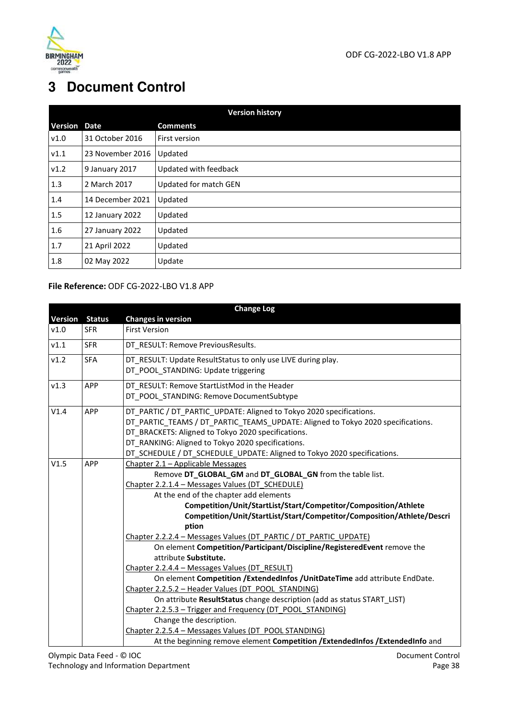

# **3 Document Control**

|                | <b>Version history</b> |                       |  |  |  |
|----------------|------------------------|-----------------------|--|--|--|
| <b>Version</b> | <b>Date</b>            | <b>Comments</b>       |  |  |  |
| v1.0           | 31 October 2016        | First version         |  |  |  |
| V1.1           | 23 November 2016       | Updated               |  |  |  |
| v1.2           | 9 January 2017         | Updated with feedback |  |  |  |
| 1.3            | 2 March 2017           | Updated for match GEN |  |  |  |
| 1.4            | 14 December 2021       | Updated               |  |  |  |
| 1.5            | 12 January 2022        | Updated               |  |  |  |
| 1.6            | 27 January 2022        | Updated               |  |  |  |
| 1.7            | 21 April 2022          | Updated               |  |  |  |
| 1.8            | 02 May 2022            | Update                |  |  |  |

#### **File Reference:** ODF CG-2022-LBO V1.8 APP

| <b>Change Log</b> |               |                                                                                                                                                                                                                                                                                                                                                                                                                                                                                                                                                                                                                                                                                                                                                                                                                                                                                     |  |  |
|-------------------|---------------|-------------------------------------------------------------------------------------------------------------------------------------------------------------------------------------------------------------------------------------------------------------------------------------------------------------------------------------------------------------------------------------------------------------------------------------------------------------------------------------------------------------------------------------------------------------------------------------------------------------------------------------------------------------------------------------------------------------------------------------------------------------------------------------------------------------------------------------------------------------------------------------|--|--|
| Version           | <b>Status</b> | <b>Changes in version</b>                                                                                                                                                                                                                                                                                                                                                                                                                                                                                                                                                                                                                                                                                                                                                                                                                                                           |  |  |
| v1.0              | <b>SFR</b>    | <b>First Version</b>                                                                                                                                                                                                                                                                                                                                                                                                                                                                                                                                                                                                                                                                                                                                                                                                                                                                |  |  |
| v1.1              | <b>SFR</b>    | DT RESULT: Remove PreviousResults.                                                                                                                                                                                                                                                                                                                                                                                                                                                                                                                                                                                                                                                                                                                                                                                                                                                  |  |  |
| v1.2              | <b>SFA</b>    | DT RESULT: Update ResultStatus to only use LIVE during play.<br>DT_POOL_STANDING: Update triggering                                                                                                                                                                                                                                                                                                                                                                                                                                                                                                                                                                                                                                                                                                                                                                                 |  |  |
| v1.3              | <b>APP</b>    | DT RESULT: Remove StartListMod in the Header<br>DT POOL STANDING: Remove DocumentSubtype                                                                                                                                                                                                                                                                                                                                                                                                                                                                                                                                                                                                                                                                                                                                                                                            |  |  |
| V1.4              | APP           | DT_PARTIC / DT_PARTIC_UPDATE: Aligned to Tokyo 2020 specifications.<br>DT PARTIC TEAMS / DT PARTIC TEAMS UPDATE: Aligned to Tokyo 2020 specifications.<br>DT BRACKETS: Aligned to Tokyo 2020 specifications.<br>DT RANKING: Aligned to Tokyo 2020 specifications.<br>DT_SCHEDULE / DT_SCHEDULE_UPDATE: Aligned to Tokyo 2020 specifications.                                                                                                                                                                                                                                                                                                                                                                                                                                                                                                                                        |  |  |
| V1.5              | <b>APP</b>    | Chapter 2.1 - Applicable Messages<br>Remove DT_GLOBAL_GM and DT_GLOBAL_GN from the table list.<br>Chapter 2.2.1.4 - Messages Values (DT SCHEDULE)<br>At the end of the chapter add elements<br>Competition/Unit/StartList/Start/Competitor/Composition/Athlete<br>Competition/Unit/StartList/Start/Competitor/Composition/Athlete/Descri<br>ption<br>Chapter 2.2.2.4 - Messages Values (DT PARTIC / DT PARTIC UPDATE)<br>On element Competition/Participant/Discipline/RegisteredEvent remove the<br>attribute Substitute.<br>Chapter 2.2.4.4 - Messages Values (DT RESULT)<br>On element Competition /ExtendedInfos /UnitDateTime add attribute EndDate.<br>Chapter 2.2.5.2 - Header Values (DT POOL STANDING)<br>On attribute ResultStatus change description (add as status START LIST)<br>Chapter 2.2.5.3 - Trigger and Frequency (DT POOL STANDING)<br>Change the description. |  |  |
|                   |               | Chapter 2.2.5.4 - Messages Values (DT POOL STANDING)<br>At the beginning remove element Competition /ExtendedInfos /ExtendedInfo and                                                                                                                                                                                                                                                                                                                                                                                                                                                                                                                                                                                                                                                                                                                                                |  |  |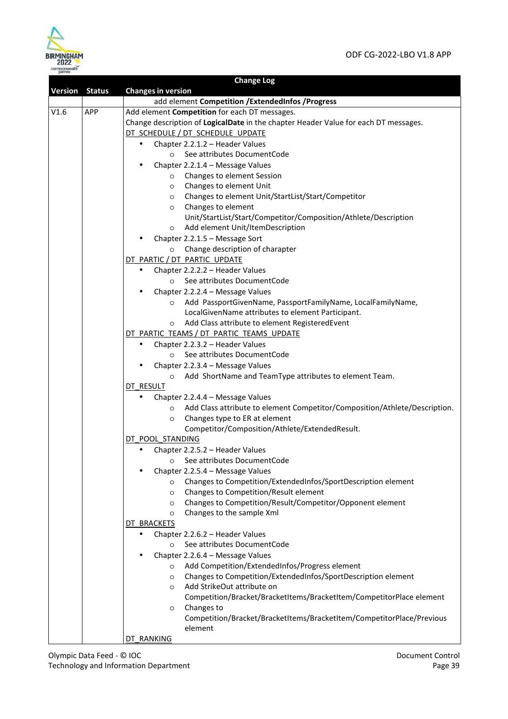

|                       |            | <b>Change Log</b>                                                                                      |
|-----------------------|------------|--------------------------------------------------------------------------------------------------------|
| <b>Version Status</b> |            | <b>Changes in version</b>                                                                              |
|                       |            | add element Competition / ExtendedInfos / Progress                                                     |
| V1.6                  | <b>APP</b> | Add element Competition for each DT messages.                                                          |
|                       |            | Change description of LogicalDate in the chapter Header Value for each DT messages.                    |
|                       |            | DT SCHEDULE / DT SCHEDULE UPDATE                                                                       |
|                       |            | Chapter 2.2.1.2 - Header Values<br>$\bullet$                                                           |
|                       |            | See attributes DocumentCode<br>$\circ$                                                                 |
|                       |            | Chapter 2.2.1.4 - Message Values<br>$\bullet$                                                          |
|                       |            | o Changes to element Session                                                                           |
|                       |            | Changes to element Unit<br>$\circ$                                                                     |
|                       |            | Changes to element Unit/StartList/Start/Competitor<br>$\circ$                                          |
|                       |            | o Changes to element                                                                                   |
|                       |            | Unit/StartList/Start/Competitor/Composition/Athlete/Description                                        |
|                       |            | Add element Unit/ItemDescription<br>$\circ$                                                            |
|                       |            | Chapter 2.2.1.5 - Message Sort                                                                         |
|                       |            | Change description of charapter<br>$\circ$                                                             |
|                       |            | DT PARTIC / DT PARTIC UPDATE                                                                           |
|                       |            | Chapter 2.2.2.2 - Header Values<br>$\bullet$                                                           |
|                       |            | See attributes DocumentCode<br>$\circ$                                                                 |
|                       |            | Chapter 2.2.2.4 - Message Values                                                                       |
|                       |            | Add PassportGivenName, PassportFamilyName, LocalFamilyName,<br>$\circ$                                 |
|                       |            | LocalGivenName attributes to element Participant.                                                      |
|                       |            | Add Class attribute to element RegisteredEvent<br>$\circ$                                              |
|                       |            | DT PARTIC TEAMS / DT PARTIC TEAMS UPDATE                                                               |
|                       |            | Chapter 2.2.3.2 - Header Values<br>$\bullet$                                                           |
|                       |            | See attributes DocumentCode<br>$\circ$                                                                 |
|                       |            | Chapter 2.2.3.4 - Message Values                                                                       |
|                       |            | Add ShortName and TeamType attributes to element Team.<br>$\circ$                                      |
|                       |            | DT RESULT                                                                                              |
|                       |            | Chapter 2.2.4.4 - Message Values                                                                       |
|                       |            | Add Class attribute to element Competitor/Composition/Athlete/Description.<br>$\circ$                  |
|                       |            | Changes type to ER at element<br>$\circ$                                                               |
|                       |            | Competitor/Composition/Athlete/ExtendedResult.                                                         |
|                       |            | DT POOL STANDING                                                                                       |
|                       |            | Chapter 2.2.5.2 - Header Values<br>$\bullet$                                                           |
|                       |            | See attributes DocumentCode<br>$\circ$                                                                 |
|                       |            | Chapter 2.2.5.4 - Message Values                                                                       |
|                       |            | Changes to Competition/ExtendedInfos/SportDescription element<br>$\circ$                               |
|                       |            | Changes to Competition/Result element<br>$\circ$                                                       |
|                       |            | Changes to Competition/Result/Competitor/Opponent element<br>$\circ$                                   |
|                       |            | Changes to the sample Xml<br>$\circ$                                                                   |
|                       |            | DT BRACKETS                                                                                            |
|                       |            | Chapter 2.2.6.2 - Header Values                                                                        |
|                       |            | See attributes DocumentCode<br>$\circ$                                                                 |
|                       |            | Chapter 2.2.6.4 - Message Values                                                                       |
|                       |            | Add Competition/ExtendedInfos/Progress element<br>$\circ$                                              |
|                       |            | Changes to Competition/ExtendedInfos/SportDescription element<br>$\circ$<br>Add StrikeOut attribute on |
|                       |            | $\circ$                                                                                                |
|                       |            | Competition/Bracket/BracketItems/BracketItem/CompetitorPlace element<br>Changes to                     |
|                       |            | $\circ$<br>Competition/Bracket/BracketItems/BracketItem/CompetitorPlace/Previous                       |
|                       |            | element                                                                                                |
|                       |            | <u>DT RANKING</u>                                                                                      |